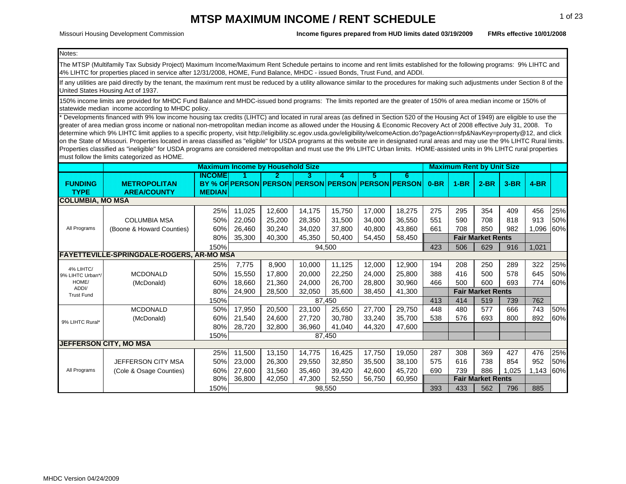Missouri Housing Development Commission

**FMRs effective 10/01/2008Income figures prepared from HUD limits dated 03/19/2009**

 $\overline{\mathsf{E}}$  and  $\overline{\mathsf{E}}$  and  $\overline{\mathsf{E}}$  and  $\overline{\mathsf{E}}$  and  $\overline{\mathsf{E}}$  and  $\overline{\mathsf{E}}$  and  $\overline{\mathsf{E}}$  and  $\overline{\mathsf{E}}$  and  $\overline{\mathsf{E}}$  and  $\overline{\mathsf{E}}$  and  $\overline{\mathsf{E}}$  and  $\overline{\mathsf{E}}$  and  $\overline{\mathsf{E}}$  and  $\overline{\mathsf{E}}$  a

Notes:

The MTSP (Multifamily Tax Subsidy Project) Maximum Income/Maximum Rent Schedule pertains to income and rent limits established for the following programs: 9% LIHTC and 4% LIHTC for properties placed in service after 12/31/2008, HOME, Fund Balance, MHDC - issued Bonds, Trust Fund, and ADDI.

If any utilities are paid directly by the tenant, the maximum rent must be reduced by a utility allowance similar to the procedures for making such adjustments under Section 8 of the United States Housing Act of 1937.

150% income limits are provided for MHDC Fund Balance and MHDC-issued bond programs: The limits reported are the greater of 150% of area median income or 150% of statewide median income according to MHDC policy.

Developments financed with 9% low income housing tax credits (LIHTC) and located in rural areas (as defined in Section 520 of the Housing Act of 1949) are eligible to use the greater of area median gross income or national non-metropolitan median income as allowed under the Housing & Economic Recovery Act of 2008 effective July 31, 2008. To determine which 9% LIHTC limit applies to a specific property, visit http://eligibility.sc.egov.usda.gov/eligibility/welcomeAction.do?pageAction=sfp&NavKey=property@12, and click on the State of Missouri. Properties located in areas classified as "eligible" for USDA programs at this website are in designated rural areas and may use the 9% LIHTC Rural limits. Properties classified as "ineligible" for USDA programs are considered metropolitan and must use the 9% LIHTC Urban limits. HOME-assisted units in 9% LIHTC rural properties must follow the limits categorized as HOME.

|                               |                                                  |               | <b>Maximum Income by Household Size</b> |        |        |        |        |                                                   |        | <b>Maximum Rent by Unit Size</b> |                          |        |        |     |
|-------------------------------|--------------------------------------------------|---------------|-----------------------------------------|--------|--------|--------|--------|---------------------------------------------------|--------|----------------------------------|--------------------------|--------|--------|-----|
|                               |                                                  | INGOMEI       |                                         | 2      | 3.     | 4.     | 5.     | 6                                                 |        |                                  |                          |        |        |     |
| <b>FUNDING</b>                | <b>METROPOLITAN</b>                              |               |                                         |        |        |        |        | BY % OF PERSON PERSON PERSON PERSON PERSON PERSON | $0-BR$ | $1-BR$                           | $2-BR$                   | $3-BR$ | $4-BR$ |     |
| <b>TYPE</b>                   | <b>AREA/COUNTY</b>                               | <b>MEDIAN</b> |                                         |        |        |        |        |                                                   |        |                                  |                          |        |        |     |
| <b>COLUMBIA, MO MSA</b>       |                                                  |               |                                         |        |        |        |        |                                                   |        |                                  |                          |        |        |     |
|                               |                                                  | 25%           | 11,025                                  | 12,600 | 14,175 | 15,750 | 17,000 | 18,275                                            | 275    | 295                              | 354                      | 409    | 456    | 25% |
|                               | <b>COLUMBIA MSA</b>                              | 50%           | 22,050                                  | 25,200 | 28,350 | 31,500 | 34,000 | 36,550                                            | 551    | 590                              | 708                      | 818    | 913    | 50% |
| All Programs                  | (Boone & Howard Counties)                        | 60%           | 26,460                                  | 30,240 | 34,020 | 37,800 | 40,800 | 43,860                                            | 661    | 708                              | 850                      | 982    | 1,096  | 60% |
|                               |                                                  | 80%           | 35,300                                  | 40,300 | 45,350 | 50,400 | 54,450 | 58,450                                            |        |                                  | <b>Fair Market Rents</b> |        |        |     |
|                               |                                                  | 150%          |                                         |        |        | 94,500 |        |                                                   | 423    | 506                              | 629                      | 916    | 1,021  |     |
|                               | <b>FAYETTEVILLE-SPRINGDALE-ROGERS, AR-MO MSA</b> |               |                                         |        |        |        |        |                                                   |        |                                  |                          |        |        |     |
|                               |                                                  | 25%           | 7,775                                   | 8,900  | 10,000 | 11,125 | 12,000 | 12,900                                            | 194    | 208                              | 250                      | 289    | 322    | 25% |
| 4% LIHTC/<br>9% LIHTC Urban*/ | <b>MCDONALD</b>                                  | 50%           | 15,550                                  | 17.800 | 20,000 | 22,250 | 24,000 | 25,800                                            | 388    | 416                              | 500                      | 578    | 645    | 50% |
| HOME/                         | (McDonald)                                       | 60%           | 18,660                                  | 21,360 | 24,000 | 26,700 | 28,800 | 30,960                                            | 466    | 500                              | 600                      | 693    | 774    | 60% |
| ADDI/<br><b>Trust Fund</b>    |                                                  | 80%           | 24,900                                  | 28,500 | 32,050 | 35,600 | 38,450 | 41,300                                            |        |                                  | <b>Fair Market Rents</b> |        |        |     |
|                               |                                                  | 150%          |                                         |        |        | 87,450 |        |                                                   | 413    | 414                              | 519                      | 739    | 762    |     |
|                               | <b>MCDONALD</b>                                  | 50%           | 17,950                                  | 20,500 | 23,100 | 25,650 | 27,700 | 29,750                                            | 448    | 480                              | 577                      | 666    | 743    | 50% |
|                               | (McDonald)                                       | 60%           | 21,540                                  | 24,600 | 27,720 | 30,780 | 33,240 | 35,700                                            | 538    | 576                              | 693                      | 800    | 892    | 60% |
| 9% LIHTC Rural*               |                                                  | 80%           | 28,720                                  | 32,800 | 36,960 | 41,040 | 44,320 | 47,600                                            |        |                                  |                          |        |        |     |
|                               |                                                  | 150%          |                                         |        |        | 87,450 |        |                                                   |        |                                  |                          |        |        |     |
|                               | <b>JEFFERSON CITY, MO MSA</b>                    |               |                                         |        |        |        |        |                                                   |        |                                  |                          |        |        |     |
|                               |                                                  | 25%           | 11,500                                  | 13,150 | 14,775 | 16,425 | 17,750 | 19,050                                            | 287    | 308                              | 369                      | 427    | 476    | 25% |
|                               | JEFFERSON CITY MSA                               | 50%           | 23,000                                  | 26,300 | 29,550 | 32,850 | 35,500 | 38,100                                            | 575    | 616                              | 738                      | 854    | 952    | 50% |
| All Programs                  | (Cole & Osage Counties)                          | 60%           | 27,600                                  | 31,560 | 35,460 | 39,420 | 42,600 | 45,720                                            | 690    | 739                              | 886                      | 1,025  | 1,143  | 60% |
|                               |                                                  | 80%           | 36,800                                  | 42,050 | 47,300 | 52,550 | 56,750 | 60,950                                            |        |                                  | <b>Fair Market Rents</b> |        |        |     |
|                               |                                                  | 150%          |                                         |        |        | 98,550 |        |                                                   | 393    | 433                              | 562                      | 796    | 885    |     |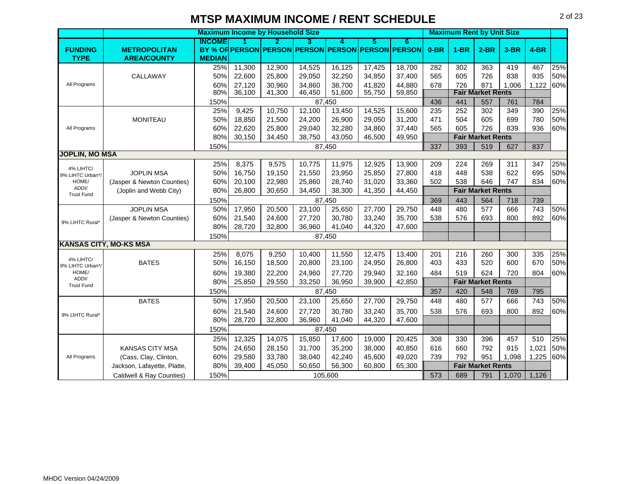|                            |                               | <b>Maximum Income by Household Size</b> |        |        |                                     |         |        |                      |        | <b>Maximum Rent by Unit Size</b> |                          |        |        |     |
|----------------------------|-------------------------------|-----------------------------------------|--------|--------|-------------------------------------|---------|--------|----------------------|--------|----------------------------------|--------------------------|--------|--------|-----|
|                            |                               | INGOME                                  |        | 2      | 3                                   | 4       | 5      | 6                    |        |                                  |                          |        |        |     |
| <b>FUNDING</b>             | <b>METROPOLITAN</b>           |                                         |        |        | BY % OF PERSON PERSON PERSON PERSON |         |        | <b>PERSON PERSON</b> | $0-BR$ | $1-BR$                           | $2-BR$                   | $3-BR$ | $4-BR$ |     |
| <b>TYPE</b>                | <b>AREA/COUNTY</b>            | <b>MEDIAN</b>                           |        |        |                                     |         |        |                      |        |                                  |                          |        |        |     |
|                            |                               | 25%                                     | 11,300 | 12,900 | 14,525                              | 16,125  | 17,425 | 18,700               | 282    | 302                              | 363                      | 419    | 467    | 25% |
|                            | CALLAWAY                      | 50%                                     | 22,600 | 25.800 | 29,050                              | 32,250  | 34,850 | 37,400               | 565    | 605                              | 726                      | 838    | 935    | 50% |
| All Programs               |                               | 60%                                     | 27,120 | 30,960 | 34,860                              | 38,700  | 41,820 | 44,880               | 678    | 726                              | 871                      | 1,006  | 1,122  | 60% |
|                            |                               | 80%                                     | 36,100 | 41,300 | 46,450                              | 51,600  | 55,750 | 59,850               |        |                                  | <b>Fair Market Rents</b> |        |        |     |
|                            |                               | 150%                                    |        |        |                                     | 87.450  |        |                      | 436    | 441                              | 557                      | 761    | 784    |     |
|                            |                               | 25%                                     | 9,425  | 10,750 | 12,100                              | 13,450  | 14,525 | 15,600               | 235    | 252                              | 302                      | 349    | 390    | 25% |
|                            | <b>MONITEAU</b>               | 50%                                     | 18,850 | 21,500 | 24,200                              | 26,900  | 29,050 | 31,200               | 471    | 504                              | 605                      | 699    | 780    | 50% |
| All Programs               |                               | 60%                                     | 22,620 | 25,800 | 29,040                              | 32,280  | 34,860 | 37,440               | 565    | 605                              | 726                      | 839    | 936    | 60% |
|                            |                               | 80%                                     | 30,150 | 34,450 | 38,750                              | 43,050  | 46,500 | 49,950               |        |                                  | <b>Fair Market Rents</b> |        |        |     |
|                            |                               | 150%                                    |        |        |                                     | 87,450  |        |                      | 337    | 393                              | 519                      | 627    | 837    |     |
| <b>JOPLIN, MO MSA</b>      |                               |                                         |        |        |                                     |         |        |                      |        |                                  |                          |        |        |     |
| 4% LIHTC/                  |                               | 25%                                     | 8,375  | 9,575  | 10,775                              | 11,975  | 12,925 | 13,900               | 209    | 224                              | 269                      | 311    | 347    | 25% |
| 9% LIHTC Urban*/           | <b>JOPLIN MSA</b>             | 50%                                     | 16,750 | 19.150 | 21,550                              | 23,950  | 25,850 | 27,800               | 418    | 448                              | 538                      | 622    | 695    | 50% |
| HOME/<br>ADDI/             | (Jasper & Newton Counties)    | 60%                                     | 20,100 | 22,980 | 25,860                              | 28,740  | 31,020 | 33,360               | 502    | 538                              | 646                      | 747    | 834    | 60% |
| <b>Trust Fund</b>          | (Joplin and Webb City)        | 80%                                     | 26,800 | 30,650 | 34,450                              | 38,300  | 41,350 | 44,450               |        |                                  | <b>Fair Market Rents</b> |        |        |     |
|                            |                               | 150%                                    |        |        |                                     | 87,450  |        |                      | 369    | 443                              | 564                      | 718    | 739    |     |
|                            | <b>JOPLIN MSA</b>             | 50%                                     | 17,950 | 20,500 | 23,100                              | 25,650  | 27,700 | 29,750               | 448    | 480                              | 577                      | 666    | 743    | 50% |
| 9% LIHTC Rural*            | (Jasper & Newton Counties)    | 60%                                     | 21,540 | 24,600 | 27,720                              | 30,780  | 33,240 | 35,700               | 538    | 576                              | 693                      | 800    | 892    | 60% |
|                            |                               | 80%                                     | 28,720 | 32,800 | 36,960                              | 41,040  | 44,320 | 47,600               |        |                                  |                          |        |        |     |
|                            |                               | 150%                                    |        |        |                                     | 87,450  |        |                      |        |                                  |                          |        |        |     |
|                            | <b>KANSAS CITY, MO-KS MSA</b> |                                         |        |        |                                     |         |        |                      |        |                                  |                          |        |        |     |
| 4% LIHTC/                  |                               | 25%                                     | 8,075  | 9,250  | 10,400                              | 11,550  | 12,475 | 13,400               | 201    | 216                              | 260                      | 300    | 335    | 25% |
| 9% LIHTC Urban*/           | <b>BATES</b>                  | 50%                                     | 16,150 | 18,500 | 20,800                              | 23,100  | 24,950 | 26,800               | 403    | 433                              | 520                      | 600    | 670    | 50% |
| HOME/                      |                               | 60%                                     | 19,380 | 22,200 | 24,960                              | 27,720  | 29,940 | 32,160               | 484    | 519                              | 624                      | 720    | 804    | 60% |
| ADDI/<br><b>Trust Fund</b> |                               | 80%                                     | 25,850 | 29,550 | 33,250                              | 36,950  | 39,900 | 42,850               |        |                                  | <b>Fair Market Rents</b> |        |        |     |
|                            |                               | 150%                                    |        |        |                                     | 87,450  |        |                      | 357    | 420                              | 548                      | 769    | 795    |     |
|                            | <b>BATES</b>                  | 50%                                     | 17,950 | 20,500 | 23,100                              | 25,650  | 27,700 | 29,750               | 448    | 480                              | 577                      | 666    | 743    | 50% |
|                            |                               | 60%                                     | 21,540 | 24,600 | 27,720                              | 30,780  | 33,240 | 35,700               | 538    | 576                              | 693                      | 800    | 892    | 60% |
| 9% LIHTC Rural*            |                               | 80%                                     | 28,720 | 32,800 | 36,960                              | 41,040  | 44,320 | 47,600               |        |                                  |                          |        |        |     |
|                            |                               | 150%                                    |        |        |                                     | 87,450  |        |                      |        |                                  |                          |        |        |     |
|                            |                               | 25%                                     | 12,325 | 14,075 | 15,850                              | 17,600  | 19,000 | 20,425               | 308    | 330                              | 396                      | 457    | 510    | 25% |
|                            | <b>KANSAS CITY MSA</b>        | 50%                                     | 24,650 | 28,150 | 31,700                              | 35,200  | 38,000 | 40,850               | 616    | 660                              | 792                      | 915    | 1,021  | 50% |
| All Programs               | (Cass, Clay, Clinton,         | 60%                                     | 29,580 | 33,780 | 38,040                              | 42,240  | 45,600 | 49,020               | 739    | 792                              | 951                      | 1.098  | 1,225  | 60% |
|                            | Jackson, Lafayette, Platte,   | 80%                                     | 39,400 | 45,050 | 50,650                              | 56,300  | 60,800 | 65,300               |        |                                  | <b>Fair Market Rents</b> |        |        |     |
|                            | Caldwell & Ray Counties)      | 150%                                    |        |        |                                     | 105,600 |        |                      | 573    | 689                              | 791                      | 1,070  | 1,126  |     |
|                            |                               |                                         |        |        |                                     |         |        |                      |        |                                  |                          |        |        |     |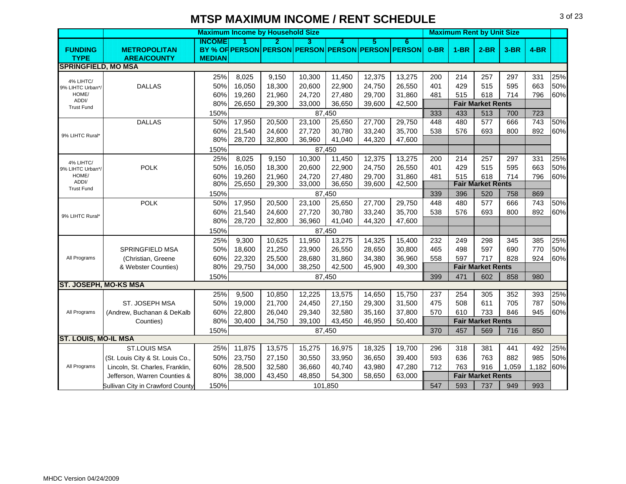|                               |                                  | <b>Maximum Income by Household Size</b> |        |        |        |         |        |                                                   |        |        | <b>Maximum Rent by Unit Size</b> |        |        |     |
|-------------------------------|----------------------------------|-----------------------------------------|--------|--------|--------|---------|--------|---------------------------------------------------|--------|--------|----------------------------------|--------|--------|-----|
|                               |                                  | INCOME                                  | и      | D      | з      | A       | 5      | 6                                                 |        |        |                                  |        |        |     |
| <b>FUNDING</b>                | <b>METROPOLITAN</b>              |                                         |        |        |        |         |        | BY % OF PERSON PERSON PERSON PERSON PERSON PERSON | $0-BR$ | $1-BR$ | $2-BR$                           | $3-BR$ | $4-BR$ |     |
| <b>TYPE</b>                   | <b>AREA/COUNTY</b>               | <b>MEDIAN</b>                           |        |        |        |         |        |                                                   |        |        |                                  |        |        |     |
| <b>SPRINGFIELD, MO MSA</b>    |                                  |                                         |        |        |        |         |        |                                                   |        |        |                                  |        |        |     |
| 4% LIHTC/                     |                                  | 25%                                     | 8,025  | 9,150  | 10,300 | 11,450  | 12,375 | 13,275                                            | 200    | 214    | 257                              | 297    | 331    | 25% |
| 9% LIHTC Urban*/              | <b>DALLAS</b>                    | 50%                                     | 16,050 | 18,300 | 20,600 | 22,900  | 24,750 | 26,550                                            | 401    | 429    | 515                              | 595    | 663    | 50% |
| HOME/                         |                                  | 60%                                     | 19,260 | 21,960 | 24,720 | 27,480  | 29,700 | 31,860                                            | 481    | 515    | 618                              | 714    | 796    | 60% |
| ADDI/<br><b>Trust Fund</b>    |                                  | 80%                                     | 26,650 | 29,300 | 33,000 | 36,650  | 39,600 | 42,500                                            |        |        | <b>Fair Market Rents</b>         |        |        |     |
|                               |                                  | 150%                                    |        |        |        | 87,450  |        |                                                   | 333    | 433    | 513                              | 700    | 723    |     |
|                               | <b>DALLAS</b>                    | 50%                                     | 17,950 | 20,500 | 23,100 | 25,650  | 27,700 | 29,750                                            | 448    | 480    | 577                              | 666    | 743    | 50% |
|                               |                                  | 60%                                     | 21,540 | 24,600 | 27,720 | 30,780  | 33,240 | 35,700                                            | 538    | 576    | 693                              | 800    | 892    | 60% |
| 9% LIHTC Rural*               |                                  | 80%                                     | 28,720 | 32,800 | 36,960 | 41,040  | 44,320 | 47,600                                            |        |        |                                  |        |        |     |
|                               |                                  | 150%                                    |        |        |        | 87,450  |        |                                                   |        |        |                                  |        |        |     |
|                               |                                  | 25%                                     | 8,025  | 9,150  | 10,300 | 11,450  | 12,375 | 13,275                                            | 200    | 214    | 257                              | 297    | 331    | 25% |
| 4% LIHTC/<br>9% LIHTC Urban*/ | <b>POLK</b>                      | 50%                                     | 16,050 | 18,300 | 20,600 | 22,900  | 24,750 | 26,550                                            | 401    | 429    | 515                              | 595    | 663    | 50% |
| HOME/                         |                                  | 60%                                     | 19,260 | 21,960 | 24,720 | 27,480  | 29,700 | 31,860                                            | 481    | 515    | 618                              | 714    | 796    | 60% |
| ADDI/<br><b>Trust Fund</b>    |                                  | 80%                                     | 25,650 | 29,300 | 33,000 | 36,650  | 39,600 | 42,500                                            |        |        | <b>Fair Market Rents</b>         |        |        |     |
|                               |                                  | 150%                                    |        |        | 87.450 |         |        |                                                   | 339    | 396    | 520                              | 758    | 869    |     |
|                               | <b>POLK</b>                      | 50%                                     | 17,950 | 20,500 | 23,100 | 25,650  | 27,700 | 29,750                                            | 448    | 480    | 577                              | 666    | 743    | 50% |
| 9% LIHTC Rural*               |                                  | 60%                                     | 21,540 | 24,600 | 27,720 | 30,780  | 33,240 | 35,700                                            | 538    | 576    | 693                              | 800    | 892    | 60% |
|                               |                                  | 80%                                     | 28,720 | 32,800 | 36,960 | 41,040  | 44,320 | 47,600                                            |        |        |                                  |        |        |     |
|                               |                                  | 150%                                    |        |        |        | 87,450  |        |                                                   |        |        |                                  |        |        |     |
|                               |                                  | 25%                                     | 9,300  | 10,625 | 11,950 | 13,275  | 14,325 | 15,400                                            | 232    | 249    | 298                              | 345    | 385    | 25% |
|                               | <b>SPRINGFIELD MSA</b>           | 50%                                     | 18,600 | 21,250 | 23,900 | 26,550  | 28,650 | 30,800                                            | 465    | 498    | 597                              | 690    | 770    | 50% |
| All Programs                  | (Christian, Greene               | 60%                                     | 22,320 | 25,500 | 28,680 | 31,860  | 34,380 | 36,960                                            | 558    | 597    | 717                              | 828    | 924    | 60% |
|                               | & Webster Counties)              | 80%                                     | 29,750 | 34,000 | 38,250 | 42,500  | 45,900 | 49,300                                            |        |        | <b>Fair Market Rents</b>         |        |        |     |
|                               |                                  | 150%                                    |        |        |        | 87,450  |        |                                                   | 399    | 471    | 602                              | 858    | 980    |     |
| <b>ST. JOSEPH, MO-KS MSA</b>  |                                  |                                         |        |        |        |         |        |                                                   |        |        |                                  |        |        |     |
|                               |                                  | 25%                                     | 9,500  | 10,850 | 12,225 | 13,575  | 14,650 | 15,750                                            | 237    | 254    | 305                              | 352    | 393    | 25% |
|                               | ST. JOSEPH MSA                   | 50%                                     | 19,000 | 21,700 | 24,450 | 27,150  | 29,300 | 31,500                                            | 475    | 508    | 611                              | 705    | 787    | 50% |
| All Programs                  | (Andrew, Buchanan & DeKalb       | 60%                                     | 22,800 | 26,040 | 29,340 | 32,580  | 35,160 | 37,800                                            | 570    | 610    | 733                              | 846    | 945    | 60% |
|                               | Counties)                        | 80%                                     | 30,400 | 34,750 | 39,100 | 43,450  | 46,950 | 50,400                                            |        |        | <b>Fair Market Rents</b>         |        |        |     |
|                               |                                  | 150%                                    |        |        |        | 87,450  |        |                                                   | 370    | 457    | 569                              | 716    | 850    |     |
| <b>ST. LOUIS, MO-IL MSA</b>   |                                  |                                         |        |        |        |         |        |                                                   |        |        |                                  |        |        |     |
|                               | <b>ST.LOUIS MSA</b>              | 25%                                     | 11,875 | 13,575 | 15,275 | 16,975  | 18,325 | 19,700                                            | 296    | 318    | 381                              | 441    | 492    | 25% |
|                               | (St. Louis City & St. Louis Co., | 50%                                     | 23,750 | 27,150 | 30,550 | 33,950  | 36,650 | 39,400                                            | 593    | 636    | 763                              | 882    | 985    | 50% |
| All Programs                  | Lincoln, St. Charles, Franklin,  | 60%                                     | 28,500 | 32,580 | 36,660 | 40,740  | 43,980 | 47,280                                            | 712    | 763    | 916                              | 1,059  | 1,182  | 60% |
|                               | Jefferson, Warren Counties &     | 80%                                     | 38,000 | 43,450 | 48,850 | 54,300  | 58,650 | 63,000                                            |        |        | <b>Fair Market Rents</b>         |        |        |     |
|                               | Sullivan City in Crawford County | 150%                                    |        |        |        | 101,850 |        |                                                   | 547    | 593    | 737                              | 949    | 993    |     |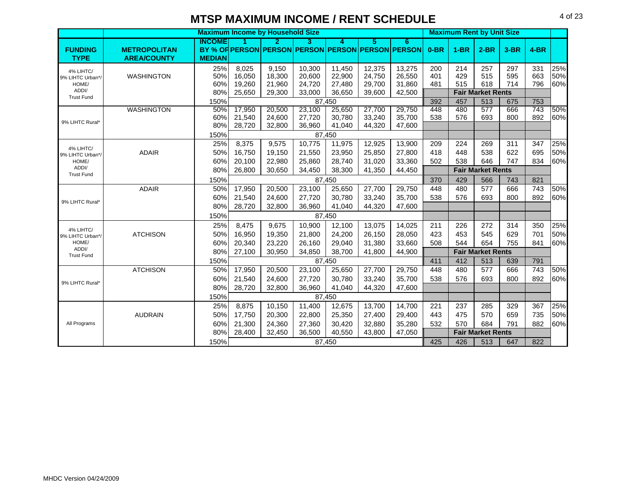|                           |                     |               |                  | <b>Maximum Income by Household Size</b> |                  |                  |                  |                                                   |            |            | <b>Maximum Rent by Unit Size</b> |            |            |            |
|---------------------------|---------------------|---------------|------------------|-----------------------------------------|------------------|------------------|------------------|---------------------------------------------------|------------|------------|----------------------------------|------------|------------|------------|
|                           |                     | INGOME        | и                | 2.                                      | 3.               | 4                | 5                | 6                                                 |            |            |                                  |            |            |            |
| <b>FUNDING</b>            | <b>METROPOLITAN</b> |               |                  |                                         |                  |                  |                  | BY % OF PERSON PERSON PERSON PERSON PERSON PERSON | $0-BR$     | $1-BR$     | $2-BR$                           | $3-BR$     | $4-BR$     |            |
| <b>TYPE</b>               | <b>AREA/COUNTY</b>  | <b>MEDIAN</b> |                  |                                         |                  |                  |                  |                                                   |            |            |                                  |            |            |            |
| 4% LIHTC/                 |                     | 25%           | 8,025            | 9,150                                   | 10,300           | 11,450           | 12,375           | 13,275                                            | 200        | 214        | 257                              | 297        | 331        | 25%        |
| 9% LIHTC Urban*/          | <b>WASHINGTON</b>   | 50%           | 16,050           | 18,300                                  | 20,600           | 22,900           | 24,750           | 26,550                                            | 401        | 429        | 515                              | 595        | 663        | 50%        |
| HOME/<br>ADDI/            |                     | 60%           | 19,260           | 21,960                                  | 24,720           | 27,480           | 29,700           | 31,860                                            | 481        | 515        | 618                              | 714        | 796        | 60%        |
| <b>Trust Fund</b>         |                     | 80%           | 25,650           | 29,300                                  | 33,000           | 36,650           | 39,600           | 42,500                                            |            |            | <b>Fair Market Rents</b>         |            |            |            |
|                           |                     | 150%          |                  |                                         |                  | 87,450           |                  |                                                   | 392        | 457        | 513                              | 675        | 753        |            |
|                           | <b>WASHINGTON</b>   | 50%           | 17,950           | 20,500                                  | 23,100           | 25,650           | 27,700           | 29,750                                            | 448        | 480<br>576 | 577                              | 666        | 743<br>892 | 50%<br>60% |
| 9% LIHTC Rural*           |                     | 60%<br>80%    | 21,540<br>28,720 | 24,600<br>32,800                        | 27,720           | 30,780           | 33,240           | 35,700<br>47,600                                  | 538        |            | 693                              | 800        |            |            |
|                           |                     | 150%          |                  |                                         | 36,960           | 41,040<br>87,450 | 44,320           |                                                   |            |            |                                  |            |            |            |
|                           |                     | 25%           | 8,375            | 9,575                                   | 10,775           | 11,975           | 12,925           | 13,900                                            | 209        | 224        | 269                              | 311        | 347        | 25%        |
| 4% LIHTC/                 | <b>ADAIR</b>        | 50%           | 16,750           | 19,150                                  | 21,550           | 23,950           | 25,850           | 27,800                                            | 418        | 448        | 538                              | 622        | 695        | 50%        |
| 9% LIHTC Urban*/<br>HOME/ |                     | 60%           | 20,100           | 22,980                                  | 25,860           | 28,740           | 31,020           | 33,360                                            | 502        | 538        | 646                              | 747        | 834        | 60%        |
| ADDI/                     |                     | 80%           | 26,800           | 30,650                                  | 34,450           | 38,300           | 41,350           | 44,450                                            |            |            | <b>Fair Market Rents</b>         |            |            |            |
| <b>Trust Fund</b>         |                     | 150%          |                  |                                         |                  | 87,450           |                  |                                                   | 370        | 429        | 566                              | 743        | 821        |            |
|                           | <b>ADAIR</b>        | 50%           | 17,950           | 20,500                                  | 23,100           | 25,650           | 27,700           | 29,750                                            | 448        | 480        | 577                              | 666        | 743        | 50%        |
|                           |                     | 60%           |                  |                                         |                  |                  |                  |                                                   | 538        | 576        | 693                              | 800        | 892        |            |
| 9% LIHTC Rural*           |                     | 80%           | 21,540<br>28,720 | 24,600<br>32,800                        | 27,720<br>36,960 | 30,780<br>41,040 | 33,240<br>44,320 | 35,700<br>47,600                                  |            |            |                                  |            |            | 60%        |
|                           |                     |               |                  |                                         |                  |                  |                  |                                                   |            |            |                                  |            |            |            |
|                           |                     | 150%          |                  |                                         |                  | 87,450           |                  |                                                   |            |            |                                  |            |            |            |
| 4% LIHTC/                 |                     | 25%           | 8,475            | 9,675                                   | 10,900           | 12,100           | 13,075           | 14,025                                            | 211        | 226        | 272                              | 314        | 350        | 25%        |
| 9% LIHTC Urban*/<br>HOME/ | <b>ATCHISON</b>     | 50%<br>60%    | 16,950           | 19,350                                  | 21,800           | 24,200           | 26,150           | 28,050                                            | 423<br>508 | 453<br>544 | 545<br>654                       | 629<br>755 | 701<br>841 | 50%        |
| ADDI/                     |                     | 80%           | 20,340           | 23,220                                  | 26,160           | 29,040           | 31,380           | 33,660                                            |            |            |                                  |            |            | 60%        |
| <b>Trust Fund</b>         |                     |               | 27,100           | 30,950                                  | 34,850           | 38,700           | 41,800           | 44,900                                            |            |            | <b>Fair Market Rents</b>         |            |            |            |
|                           |                     | 150%<br>50%   | 17,950           | 20,500                                  | 23,100           | 87.450           | 27,700           | 29,750                                            | 411<br>448 | 412<br>480 | 513<br>577                       | 639<br>666 | 791<br>743 | 50%        |
|                           | <b>ATCHISON</b>     | 60%           |                  |                                         |                  | 25,650           | 33,240           |                                                   | 538        | 576        | 693                              | 800        | 892        |            |
| 9% LIHTC Rural*           |                     |               | 21,540           | 24,600                                  | 27,720           | 30,780           |                  | 35,700                                            |            |            |                                  |            |            | 60%        |
|                           |                     | 80%           | 28,720           | 32,800                                  | 36,960           | 41,040           | 44,320           | 47,600                                            |            |            |                                  |            |            |            |
|                           |                     | 150%          |                  |                                         |                  | 87,450           |                  |                                                   |            |            |                                  |            |            |            |
|                           |                     | 25%           | 8,875            | 10,150                                  | 11,400           | 12,675           | 13,700           | 14,700                                            | 221        | 237        | 285                              | 329        | 367        | 25%        |
|                           | <b>AUDRAIN</b>      | 50%           | 17,750           | 20,300                                  | 22,800           | 25,350           | 27,400           | 29,400                                            | 443        | 475        | 570                              | 659        | 735        | 50%        |
| All Programs              |                     | 60%           | 21,300           | 24,360                                  | 27,360           | 30,420           | 32,880           | 35,280                                            | 532        | 570        | 684                              | 791        | 882        | 60%        |
|                           |                     | 80%           | 28,400           | 32,450                                  | 36,500           | 40,550           | 43,800           | 47,050                                            |            |            | <b>Fair Market Rents</b>         |            |            |            |
|                           |                     | 150%          |                  |                                         |                  | 87,450           |                  |                                                   | 425        | 426        | 513                              | 647        | 822        |            |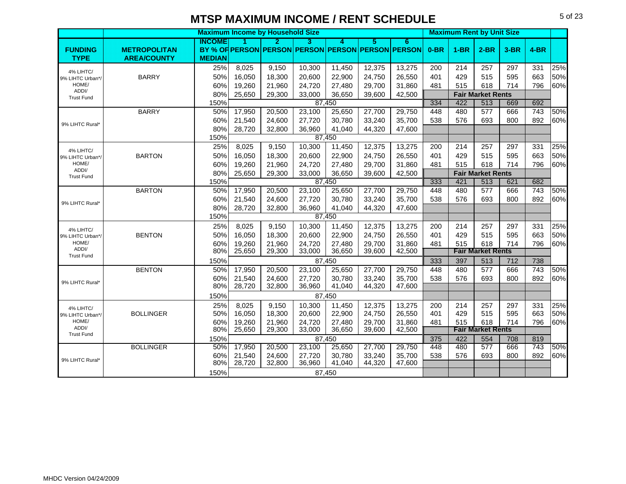|                               |                     |               | <b>Maximum Income by Household Size</b> |                  |                  |                  |                  |                                                   |        | <b>Maximum Rent by Unit Size</b> |                                 |        |                  |     |
|-------------------------------|---------------------|---------------|-----------------------------------------|------------------|------------------|------------------|------------------|---------------------------------------------------|--------|----------------------------------|---------------------------------|--------|------------------|-----|
|                               |                     | <b>INGOME</b> |                                         | 2                | з                | А                | 5                | 6                                                 |        |                                  |                                 |        |                  |     |
| <b>FUNDING</b>                | <b>METROPOLITAN</b> |               |                                         |                  |                  |                  |                  | BY % OF PERSON PERSON PERSON PERSON PERSON PERSON | $0-BR$ | $1-BR$                           | $2-BR$                          | $3-BR$ | $4-BR$           |     |
| <b>TYPE</b>                   | <b>AREA/COUNTY</b>  | <b>MEDIAN</b> |                                         |                  |                  |                  |                  |                                                   |        |                                  |                                 |        |                  |     |
| 4% LIHTC/                     |                     | 25%           | 8,025                                   | 9,150            | 10,300           | 11,450           | 12,375           | 13,275                                            | 200    | 214                              | 257                             | 297    | 331              | 25% |
| 9% LIHTC Urban*/              | <b>BARRY</b>        | 50%           | 16,050                                  | 18,300           | 20,600           | 22,900           | 24,750           | 26,550                                            | 401    | 429                              | 515                             | 595    | 663              | 50% |
| HOME/<br>ADDI/                |                     | 60%           | 19,260                                  | 21,960           | 24,720           | 27,480           | 29,700           | 31,860                                            | 481    | 515                              | 618                             | 714    | 796              | 60% |
| <b>Trust Fund</b>             |                     | 80%           | 25,650                                  | 29,300           | 33,000           | 36,650           | 39,600           | 42,500                                            |        |                                  | <b>Fair Market Rents</b>        |        |                  |     |
|                               |                     | 150%          |                                         |                  |                  | 87,450           |                  |                                                   | 334    | 422                              | 513                             | 669    | 692              |     |
|                               | <b>BARRY</b>        | 50%           | 17,950                                  | 20,500           | 23,100           | 25,650           | 27,700           | 29,750                                            | 448    | 480                              | 577                             | 666    | 743              | 50% |
| 9% LIHTC Rural*               |                     | 60%           | 21,540                                  | 24,600           | 27,720           | 30,780           | 33,240           | 35,700                                            | 538    | 576                              | 693                             | 800    | 892              | 60% |
|                               |                     | 80%           | 28,720                                  | 32,800           | 36,960           | 41,040           | 44,320           | 47,600                                            |        |                                  |                                 |        |                  |     |
|                               |                     | 150%          |                                         |                  |                  | 87,450           |                  |                                                   |        |                                  |                                 |        |                  |     |
| 4% LIHTC/                     |                     | 25%           | 8,025                                   | 9,150            | 10,300           | 11,450           | 12,375           | 13,275                                            | 200    | 214                              | 257                             | 297    | 331              | 25% |
| 9% LIHTC Urban*/              | <b>BARTON</b>       | 50%           | 16,050                                  | 18,300           | 20,600           | 22,900           | 24,750           | 26,550                                            | 401    | 429                              | 515                             | 595    | 663              | 50% |
| HOME/<br>ADDI/                |                     | 60%           | 19,260                                  | 21,960           | 24,720           | 27,480           | 29,700           | 31,860                                            | 481    | 515                              | 618                             | 714    | 796              | 60% |
| <b>Trust Fund</b>             |                     | 80%           | 25,650                                  | 29,300           | 33,000           | 36,650           | 39,600           | 42,500                                            |        |                                  | <b>Fair Market Rents</b>        |        |                  |     |
|                               |                     | 150%          |                                         |                  |                  | 87,450           |                  |                                                   | 333    | 421                              | 513                             | 621    | 682              | 50% |
|                               | <b>BARTON</b>       | 50%           | 17,950                                  | 20,500           | 23,100           | 25,650           | 27,700           | 29,750                                            | 448    | 480                              | 577                             | 666    | 743              |     |
| 9% LIHTC Rural*               |                     | 60%<br>80%    | 21,540                                  | 24.600           | 27,720           | 30,780           | 33,240           | 35,700                                            | 538    | 576                              | 693                             | 800    | 892              | 60% |
|                               |                     | 150%          | 28,720                                  | 32,800           | 36,960           | 41,040<br>87,450 | 44,320           | 47,600                                            |        |                                  |                                 |        |                  |     |
|                               |                     |               |                                         |                  |                  |                  |                  |                                                   |        |                                  |                                 |        |                  |     |
| 4% LIHTC/                     |                     | 25%           | 8,025                                   | 9,150            | 10,300           | 11,450           | 12,375           | 13,275                                            | 200    | 214                              | 257                             | 297    | 331              | 25% |
| 9% LIHTC Urban*/<br>HOME/     | <b>BENTON</b>       | 50%           | 16,050                                  | 18,300           | 20,600           | 22,900           | 24,750           | 26,550                                            | 401    | 429                              | 515                             | 595    | 663              | 50% |
| ADDI/                         |                     | 60%<br>80%    | 19,260<br>25,650                        | 21,960<br>29,300 | 24,720<br>33,000 | 27,480<br>36,650 | 29,700<br>39,600 | 31,860<br>42,500                                  | 481    | 515                              | 618<br><b>Fair Market Rents</b> | 714    | 796              | 60% |
| <b>Trust Fund</b>             |                     | 150%          |                                         |                  |                  | 87,450           |                  |                                                   | 333    | 397                              | 513                             | 712    | 738              |     |
|                               | <b>BENTON</b>       | 50%           | 17,950                                  | 20,500           | 23,100           | 25,650           | 27,700           | 29,750                                            | 448    | 480                              | 577                             | 666    | $\overline{743}$ | 50% |
|                               |                     | 60%           | 21,540                                  | 24,600           | 27,720           | 30,780           | 33,240           | 35,700                                            | 538    | 576                              | 693                             | 800    | 892              | 60% |
| 9% LIHTC Rural*               |                     | 80%           | 28,720                                  | 32,800           | 36,960           | 41,040           | 44,320           | 47,600                                            |        |                                  |                                 |        |                  |     |
|                               |                     | 150%          |                                         |                  |                  | 87,450           |                  |                                                   |        |                                  |                                 |        |                  |     |
|                               |                     | 25%           | 8,025                                   | 9,150            | 10,300           | 11,450           | 12,375           | 13,275                                            | 200    | 214                              | 257                             | 297    | 331              | 25% |
| 4% LIHTC/<br>9% LIHTC Urban*/ | <b>BOLLINGER</b>    | 50%           | 16,050                                  | 18,300           | 20,600           | 22,900           | 24,750           | 26,550                                            | 401    | 429                              | 515                             | 595    | 663              | 50% |
| HOME/                         |                     | 60%           | 19,260                                  | 21,960           | 24,720           | 27,480           | 29,700           | 31,860                                            | 481    | 515                              | 618                             | 714    | 796              | 60% |
| ADDI/                         |                     | 80%           | 25,650                                  | 29,300           | 33,000           | 36,650           | 39,600           | 42,500                                            |        |                                  | <b>Fair Market Rents</b>        |        |                  |     |
| <b>Trust Fund</b>             |                     | 150%          |                                         |                  |                  | 87,450           |                  |                                                   | 375    | 422                              | 554                             | 708    | 819              |     |
|                               | <b>BOLLINGER</b>    | 50%           | 17,950                                  | 20,500           | 23,100           | 25,650           | 27,700           | 29,750                                            | 448    | 480                              | 577                             | 666    | 743              | 50% |
|                               |                     | 60%           | 21,540                                  | 24,600           | 27,720           | 30,780           | 33,240           | 35,700                                            | 538    | 576                              | 693                             | 800    | 892              | 60% |
| 9% LIHTC Rural*               |                     | 80%           | 28,720                                  | 32,800           | 36,960           | 41,040           | 44,320           | 47,600                                            |        |                                  |                                 |        |                  |     |
|                               |                     | 150%          |                                         |                  |                  | 87,450           |                  |                                                   |        |                                  |                                 |        |                  |     |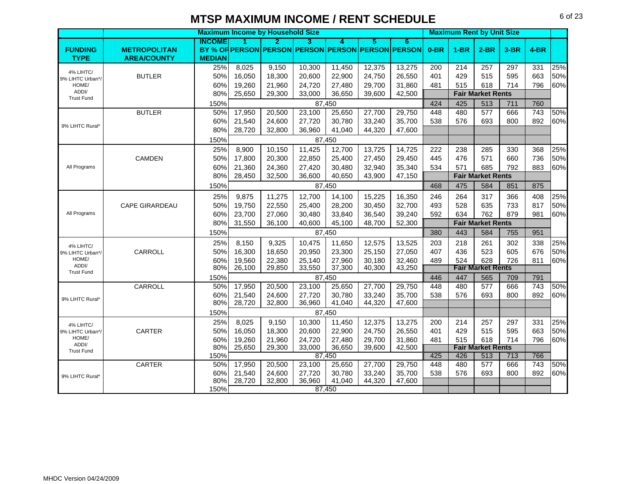|                            |                       |               |        | <b>Maximum Income by Household Size</b> |                                                   |                  |        |        |        | <b>Maximum Rent by Unit Size</b> |                                 |        |        |     |
|----------------------------|-----------------------|---------------|--------|-----------------------------------------|---------------------------------------------------|------------------|--------|--------|--------|----------------------------------|---------------------------------|--------|--------|-----|
|                            |                       | <b>INCOME</b> | и      | 2                                       | З                                                 | A                | 5      | 6      |        |                                  |                                 |        |        |     |
| <b>FUNDING</b>             | <b>METROPOLITAN</b>   |               |        |                                         | BY % OF PERSON PERSON PERSON PERSON PERSON PERSON |                  |        |        | $0-BR$ | $1-BR$                           | $2-BR$                          | $3-BR$ | $4-BR$ |     |
| <b>TYPE</b>                | <b>AREA/COUNTY</b>    | <b>MEDIAN</b> |        |                                         |                                                   |                  |        |        |        |                                  |                                 |        |        |     |
| 4% LIHTC/                  |                       | 25%           | 8,025  | 9,150                                   | 10,300                                            | 11,450           | 12,375 | 13,275 | 200    | 214                              | 257                             | 297    | 331    | 25% |
| 9% LIHTC Urban*/           | <b>BUTLER</b>         | 50%           | 16,050 | 18,300                                  | 20,600                                            | 22,900           | 24,750 | 26,550 | 401    | 429                              | 515                             | 595    | 663    | 50% |
| HOME/                      |                       | 60%           | 19,260 | 21,960                                  | 24,720                                            | 27,480           | 29,700 | 31,860 | 481    | 515                              | 618                             | 714    | 796    | 60% |
| ADDI/<br><b>Trust Fund</b> |                       | 80%           | 25,650 | 29,300                                  | 33,000                                            | 36,650           | 39,600 | 42,500 |        |                                  | <b>Fair Market Rents</b>        |        |        |     |
|                            |                       | 150%          |        |                                         |                                                   | 87,450           |        |        | 424    | 425                              | 513                             | 711    | 760    |     |
|                            | <b>BUTLER</b>         | 50%           | 17,950 | 20,500                                  | 23,100                                            | 25.650           | 27,700 | 29,750 | 448    | 480                              | 577                             | 666    | 743    | 50% |
| 9% LIHTC Rural*            |                       | 60%           | 21,540 | 24,600                                  | 27,720                                            | 30,780           | 33,240 | 35,700 | 538    | 576                              | 693                             | 800    | 892    | 60% |
|                            |                       | 80%           | 28,720 | 32,800                                  | 36,960                                            | 41,040           | 44,320 | 47,600 |        |                                  |                                 |        |        |     |
|                            |                       | 150%          |        |                                         |                                                   | 87,450           |        |        |        |                                  |                                 |        |        |     |
|                            |                       | 25%           | 8,900  | 10,150                                  | 11,425                                            | 12,700           | 13,725 | 14,725 | 222    | 238                              | 285                             | 330    | 368    | 25% |
|                            | CAMDEN                | 50%           | 17,800 | 20,300                                  | 22,850                                            | 25,400           | 27,450 | 29,450 | 445    | 476                              | 571                             | 660    | 736    | 50% |
| All Programs               |                       | 60%           | 21,360 | 24,360                                  | 27,420                                            | 30,480           | 32,940 | 35,340 | 534    | 571                              | 685                             | 792    | 883    | 60% |
|                            |                       | 80%           | 28,450 | 32,500                                  | 36,600                                            | 40,650           | 43,900 | 47,150 |        |                                  | <b>Fair Market Rents</b>        |        |        |     |
|                            |                       | 150%          |        |                                         |                                                   | 87,450           |        |        | 468    | 475                              | 584                             | 851    | 875    |     |
|                            |                       | 25%           | 9,875  | 11,275                                  | 12,700                                            | 14,100           | 15,225 | 16,350 | 246    | 264                              | 317                             | 366    | 408    | 25% |
|                            | <b>CAPE GIRARDEAU</b> | 50%           | 19,750 | 22,550                                  | 25,400                                            | 28,200           | 30,450 | 32,700 | 493    | 528                              | 635                             | 733    | 817    | 50% |
| All Programs               |                       | 60%           | 23,700 | 27,060                                  | 30,480                                            | 33,840           | 36,540 | 39,240 | 592    | 634                              | 762                             | 879    | 981    | 60% |
|                            |                       | 80%           | 31,550 | 36,100                                  | 40,600                                            | 45,100           | 48,700 | 52,300 |        |                                  | <b>Fair Market Rents</b>        |        |        |     |
|                            |                       | 150%          |        |                                         |                                                   | 87,450           |        |        | 380    | 443                              | 584                             | 755    | 951    |     |
| 4% LIHTC/                  |                       | 25%           | 8,150  | 9,325                                   | 10,475                                            | 11,650           | 12,575 | 13,525 | 203    | 218                              | 261                             | 302    | 338    | 25% |
| 9% LIHTC Urban*/           | CARROLL               | 50%           | 16,300 | 18,650                                  | 20,950                                            | 23,300           | 25,150 | 27,050 | 407    | 436                              | 523                             | 605    | 676    | 50% |
| HOME/                      |                       | 60%           | 19,560 | 22,380                                  | 25,140                                            | 27,960           | 30.180 | 32,460 | 489    | 524                              | 628                             | 726    | 811    | 60% |
| ADDI/<br><b>Trust Fund</b> |                       | 80%           | 26,100 | 29,850                                  | 33,550                                            | 37,300           | 40,300 | 43,250 |        |                                  | <b>Fair Market Rents</b>        |        |        |     |
|                            |                       | 150%          |        |                                         | 87,450                                            |                  |        |        | 446    | 447                              | 565                             | 709    | 791    |     |
|                            | CARROLL               | 50%           | 17,950 | 20,500                                  | 23,100                                            | 25,650           | 27,700 | 29,750 | 448    | 480                              | 577                             | 666    | 743    | 50% |
| 9% LIHTC Rural*            |                       | 60%           | 21,540 | 24,600                                  | 27,720                                            | 30,780           | 33,240 | 35,700 | 538    | 576                              | 693                             | 800    | 892    | 60% |
|                            |                       | 80%           | 28,720 | 32,800                                  | 36,960                                            | 41,040           | 44,320 | 47,600 |        |                                  |                                 |        |        |     |
|                            |                       | 150%          |        |                                         |                                                   | 87,450           |        |        |        |                                  |                                 |        |        |     |
| 4% LIHTC/                  |                       | 25%           | 8,025  | 9,150                                   | 10,300                                            | 11,450           | 12,375 | 13,275 | 200    | 214                              | 257                             | 297    | 331    | 25% |
| 9% LIHTC Urban*/           | CARTER                | 50%           | 16,050 | 18,300                                  | 20,600                                            | 22,900           | 24,750 | 26,550 | 401    | 429                              | 515                             | 595    | 663    | 50% |
| HOME/<br>ADDI/             |                       | 60%           | 19,260 | 21,960                                  | 24,720                                            | 27,480           | 29,700 | 31,860 | 481    | 515                              | 618                             | 714    | 796    | 60% |
| <b>Trust Fund</b>          |                       | 80%<br>150%   | 25,650 | 29,300                                  | 33,000                                            | 36,650<br>87,450 | 39,600 | 42,500 | 425    | 426                              | <b>Fair Market Rents</b><br>513 | 713    | 766    |     |
|                            | CARTER                | 50%           | 17,950 | 20,500                                  | 23,100                                            | 25,650           | 27,700 | 29,750 | 448    | 480                              | 577                             | 666    | 743    | 50% |
|                            |                       | 60%           | 21,540 | 24,600                                  | 27,720                                            | 30,780           | 33,240 | 35,700 | 538    | 576                              | 693                             | 800    | 892    | 60% |
| 9% LIHTC Rural*            |                       | 80%           | 28,720 | 32,800                                  | 36,960                                            | 41,040           | 44,320 | 47,600 |        |                                  |                                 |        |        |     |
|                            |                       | 150%          |        |                                         |                                                   | 87,450           |        |        |        |                                  |                                 |        |        |     |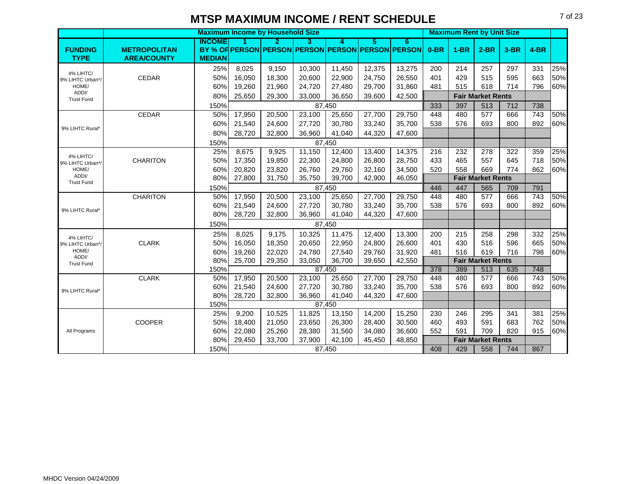|                               |                     |               |        | <b>Maximum Income by Household Size</b> |        |        |        |                                                   |        | <b>Maximum Rent by Unit Size</b> |                          |        |        |     |
|-------------------------------|---------------------|---------------|--------|-----------------------------------------|--------|--------|--------|---------------------------------------------------|--------|----------------------------------|--------------------------|--------|--------|-----|
|                               |                     | <b>INCOME</b> | и      | 2                                       | з      | A      | 5      | 6                                                 |        |                                  |                          |        |        |     |
| <b>FUNDING</b>                | <b>METROPOLITAN</b> |               |        |                                         |        |        |        | BY % OF PERSON PERSON PERSON PERSON PERSON PERSON | $0-BR$ | $1-BR$                           | $2-BR$                   | $3-BR$ | $4-BR$ |     |
| <b>TYPE</b>                   | <b>AREA/COUNTY</b>  | <b>MEDIAN</b> |        |                                         |        |        |        |                                                   |        |                                  |                          |        |        |     |
| 4% LIHTC/                     |                     | 25%           | 8,025  | 9,150                                   | 10,300 | 11,450 | 12,375 | 13,275                                            | 200    | 214                              | 257                      | 297    | 331    | 25% |
| 9% LIHTC Urban*/              | CEDAR               | 50%           | 16,050 | 18,300                                  | 20,600 | 22,900 | 24,750 | 26,550                                            | 401    | 429                              | 515                      | 595    | 663    | 50% |
| HOME/                         |                     | 60%           | 19,260 | 21,960                                  | 24,720 | 27,480 | 29,700 | 31,860                                            | 481    | 515                              | 618                      | 714    | 796    | 60% |
| ADDI/<br><b>Trust Fund</b>    |                     | 80%           | 25,650 | 29,300                                  | 33,000 | 36,650 | 39,600 | 42,500                                            |        |                                  | <b>Fair Market Rents</b> |        |        |     |
|                               |                     | 150%          |        |                                         |        | 87,450 |        |                                                   | 333    | 397                              | 513                      | 712    | 738    |     |
|                               | <b>CEDAR</b>        | 50%           | 17,950 | 20,500                                  | 23,100 | 25,650 | 27,700 | 29,750                                            | 448    | 480                              | 577                      | 666    | 743    | 50% |
|                               |                     | 60%           | 21,540 | 24,600                                  | 27,720 | 30,780 | 33,240 | 35,700                                            | 538    | 576                              | 693                      | 800    | 892    | 60% |
| 9% LIHTC Rural*               |                     | 80%           | 28,720 | 32,800                                  | 36,960 | 41,040 | 44,320 | 47,600                                            |        |                                  |                          |        |        |     |
|                               |                     | 150%          |        |                                         |        | 87,450 |        |                                                   |        |                                  |                          |        |        |     |
|                               |                     | 25%           | 8,675  | 9,925                                   | 11,150 | 12,400 | 13,400 | 14,375                                            | 216    | 232                              | 278                      | 322    | 359    | 25% |
| 4% LIHTC/<br>9% LIHTC Urban*/ | <b>CHARITON</b>     | 50%           | 17,350 | 19,850                                  | 22,300 | 24,800 | 26,800 | 28,750                                            | 433    | 465                              | 557                      | 645    | 718    | 50% |
| HOME/                         |                     | 60%           | 20,820 | 23,820                                  | 26,760 | 29,760 | 32,160 | 34,500                                            | 520    | 558                              | 669                      | 774    | 862    | 60% |
| ADDI/<br><b>Trust Fund</b>    |                     | 80%           | 27,800 | 31,750                                  | 35,750 | 39,700 | 42,900 | 46,050                                            |        |                                  | <b>Fair Market Rents</b> |        |        |     |
|                               |                     | 150%          |        |                                         |        | 87.450 |        |                                                   | 446    | 447                              | 565                      | 709    | 791    |     |
|                               | <b>CHARITON</b>     | 50%           | 17,950 | 20,500                                  | 23,100 | 25,650 | 27,700 | 29,750                                            | 448    | 480                              | 577                      | 666    | 743    | 50% |
|                               |                     | 60%           | 21,540 | 24,600                                  | 27,720 | 30,780 | 33,240 | 35,700                                            | 538    | 576                              | 693                      | 800    | 892    | 60% |
| 9% LIHTC Rural*               |                     | 80%           | 28,720 | 32,800                                  | 36,960 | 41,040 | 44,320 | 47,600                                            |        |                                  |                          |        |        |     |
|                               |                     | 150%          |        |                                         |        | 87,450 |        |                                                   |        |                                  |                          |        |        |     |
| 4% LIHTC/                     |                     | 25%           | 8,025  | 9,175                                   | 10,325 | 11,475 | 12,400 | 13,300                                            | 200    | 215                              | 258                      | 298    | 332    | 25% |
| 9% LIHTC Urban*/              | <b>CLARK</b>        | 50%           | 16,050 | 18,350                                  | 20,650 | 22,950 | 24,800 | 26,600                                            | 401    | 430                              | 516                      | 596    | 665    | 50% |
| HOME/                         |                     | 60%           | 19,260 | 22,020                                  | 24,780 | 27,540 | 29,760 | 31,920                                            | 481    | 516                              | 619                      | 716    | 798    | 60% |
| ADDI/<br><b>Trust Fund</b>    |                     | 80%           | 25,700 | 29,350                                  | 33,050 | 36,700 | 39,650 | 42,550                                            |        |                                  | <b>Fair Market Rents</b> |        |        |     |
|                               |                     | 150%          |        |                                         |        | 87.450 |        |                                                   | 378    | 389                              | 513                      | 635    | 748    |     |
|                               | <b>CLARK</b>        | 50%           | 17,950 | 20,500                                  | 23,100 | 25,650 | 27,700 | 29,750                                            | 448    | 480                              | 577                      | 666    | 743    | 50% |
| 9% LIHTC Rural*               |                     | 60%           | 21,540 | 24.600                                  | 27,720 | 30.780 | 33,240 | 35,700                                            | 538    | 576                              | 693                      | 800    | 892    | 60% |
|                               |                     | 80%           | 28,720 | 32,800                                  | 36,960 | 41,040 | 44,320 | 47,600                                            |        |                                  |                          |        |        |     |
|                               |                     | 150%          |        |                                         |        | 87,450 |        |                                                   |        |                                  |                          |        |        |     |
|                               |                     | 25%           | 9,200  | 10,525                                  | 11,825 | 13,150 | 14,200 | 15,250                                            | 230    | 246                              | 295                      | 341    | 381    | 25% |
|                               | <b>COOPER</b>       | 50%           | 18,400 | 21,050                                  | 23,650 | 26,300 | 28,400 | 30,500                                            | 460    | 493                              | 591                      | 683    | 762    | 50% |
| All Programs                  |                     | 60%           | 22,080 | 25,260                                  | 28,380 | 31,560 | 34,080 | 36,600                                            | 552    | 591                              | 709                      | 820    | 915    | 60% |
|                               |                     | 80%           | 29,450 | 33,700                                  | 37,900 | 42,100 | 45,450 | 48,850                                            |        |                                  | <b>Fair Market Rents</b> |        |        |     |
|                               |                     | 150%          |        |                                         |        | 87,450 |        |                                                   | 408    | 429                              | 558                      | 744    | 867    |     |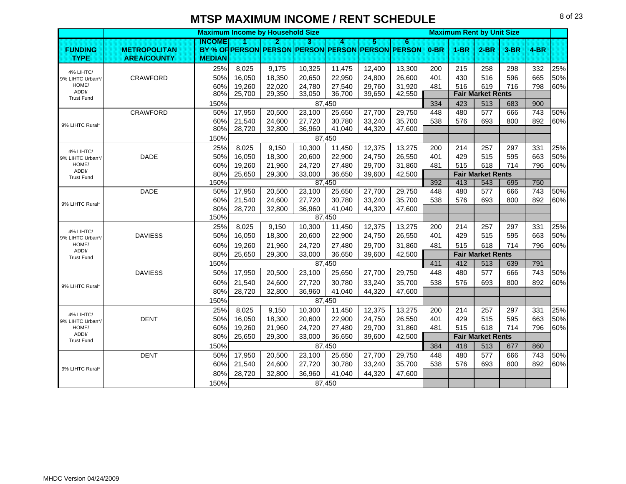|                               |                     |               |        | <b>Maximum Income by Household Size</b>           |        |        |        |        |        | <b>Maximum Rent by Unit Size</b> |                          |        |                  |     |
|-------------------------------|---------------------|---------------|--------|---------------------------------------------------|--------|--------|--------|--------|--------|----------------------------------|--------------------------|--------|------------------|-----|
|                               |                     | INCOME        |        | 2                                                 | з      | A      | 5      | 6      |        |                                  |                          |        |                  |     |
| <b>FUNDING</b>                | <b>METROPOLITAN</b> |               |        | BY % OF PERSON PERSON PERSON PERSON PERSON PERSON |        |        |        |        | $0-BR$ | $1-BR$                           | $2-BR$                   | $3-BR$ | $4-BR$           |     |
| <b>TYPE</b>                   | <b>AREA/COUNTY</b>  | <b>MEDIAN</b> |        |                                                   |        |        |        |        |        |                                  |                          |        |                  |     |
| 4% LIHTC/                     |                     | 25%           | 8,025  | 9,175                                             | 10,325 | 11,475 | 12,400 | 13,300 | 200    | 215                              | 258                      | 298    | 332              | 25% |
| 9% LIHTC Urban*/              | <b>CRAWFORD</b>     | 50%           | 16,050 | 18,350                                            | 20,650 | 22,950 | 24,800 | 26,600 | 401    | 430                              | 516                      | 596    | 665              | 50% |
| HOME/                         |                     | 60%           | 19,260 | 22,020                                            | 24,780 | 27,540 | 29,760 | 31,920 | 481    | 516                              | 619                      | 716    | 798              | 60% |
| ADDI/<br><b>Trust Fund</b>    |                     | 80%           | 25,700 | 29,350                                            | 33,050 | 36,700 | 39,650 | 42,550 |        |                                  | <b>Fair Market Rents</b> |        |                  |     |
|                               |                     | 150%          |        |                                                   |        | 87,450 |        |        | 334    | 423                              | 513                      | 683    | 900              |     |
|                               | <b>CRAWFORD</b>     | 50%           | 17,950 | 20,500                                            | 23,100 | 25,650 | 27,700 | 29,750 | 448    | 480                              | 577                      | 666    | 743              | 50% |
| 9% LIHTC Rural*               |                     | 60%           | 21,540 | 24,600                                            | 27,720 | 30,780 | 33,240 | 35,700 | 538    | 576                              | 693                      | 800    | 892              | 60% |
|                               |                     | 80%           | 28,720 | 32,800                                            | 36,960 | 41,040 | 44,320 | 47,600 |        |                                  |                          |        |                  |     |
|                               |                     | 150%          |        |                                                   |        | 87,450 |        |        |        |                                  |                          |        |                  |     |
| 4% LIHTC/                     |                     | 25%           | 8,025  | 9,150                                             | 10,300 | 11,450 | 12,375 | 13,275 | 200    | 214                              | 257                      | 297    | 331              | 25% |
| 9% LIHTC Urban*/              | <b>DADE</b>         | 50%           | 16,050 | 18,300                                            | 20,600 | 22,900 | 24,750 | 26,550 | 401    | 429                              | 515                      | 595    | 663              | 50% |
| HOME/                         |                     | 60%           | 19,260 | 21,960                                            | 24,720 | 27,480 | 29,700 | 31,860 | 481    | 515                              | 618                      | 714    | 796              | 60% |
| ADDI/<br><b>Trust Fund</b>    |                     | 80%           | 25,650 | 29,300                                            | 33,000 | 36,650 | 39,600 | 42,500 |        |                                  | <b>Fair Market Rents</b> |        |                  |     |
|                               |                     | 150%          |        |                                                   |        | 87.450 |        |        | 392    | 413                              | 543                      | 695    | 750              |     |
|                               | <b>DADE</b>         | 50%           | 17,950 | 20,500                                            | 23,100 | 25,650 | 27,700 | 29,750 | 448    | 480                              | 577                      | 666    | $\overline{743}$ | 50% |
| 9% LIHTC Rural*               |                     | 60%           | 21,540 | 24,600                                            | 27,720 | 30,780 | 33,240 | 35,700 | 538    | 576                              | 693                      | 800    | 892              | 60% |
|                               |                     | 80%           | 28,720 | 32,800                                            | 36,960 | 41,040 | 44,320 | 47,600 |        |                                  |                          |        |                  |     |
|                               |                     | 150%          |        |                                                   |        | 87,450 |        |        |        |                                  |                          |        |                  |     |
| 4% LIHTC/                     |                     | 25%           | 8,025  | 9,150                                             | 10,300 | 11,450 | 12,375 | 13,275 | 200    | 214                              | 257                      | 297    | 331              | 25% |
| 9% LIHTC Urban*/              | <b>DAVIESS</b>      | 50%           | 16,050 | 18,300                                            | 20,600 | 22,900 | 24,750 | 26,550 | 401    | 429                              | 515                      | 595    | 663              | 50% |
| HOME/                         |                     | 60%           | 19,260 | 21,960                                            | 24,720 | 27,480 | 29,700 | 31,860 | 481    | 515                              | 618                      | 714    | 796              | 60% |
| ADDI/<br><b>Trust Fund</b>    |                     | 80%           | 25,650 | 29,300                                            | 33,000 | 36,650 | 39,600 | 42,500 |        |                                  | <b>Fair Market Rents</b> |        |                  |     |
|                               |                     | 150%          |        |                                                   |        | 87,450 |        |        | 411    | 412                              | 513                      | 639    | 791              |     |
|                               | <b>DAVIESS</b>      | 50%           | 17,950 | 20,500                                            | 23,100 | 25,650 | 27,700 | 29,750 | 448    | 480                              | 577                      | 666    | 743              | 50% |
|                               |                     | 60%           | 21,540 | 24,600                                            | 27,720 | 30,780 | 33,240 | 35,700 | 538    | 576                              | 693                      | 800    | 892              | 60% |
| 9% LIHTC Rural*               |                     | 80%           | 28,720 | 32,800                                            | 36,960 | 41,040 | 44,320 | 47,600 |        |                                  |                          |        |                  |     |
|                               |                     | 150%          |        |                                                   |        | 87,450 |        |        |        |                                  |                          |        |                  |     |
|                               |                     | 25%           | 8,025  | 9,150                                             | 10,300 | 11,450 | 12,375 | 13,275 | 200    | 214                              | 257                      | 297    | 331              | 25% |
| 4% LIHTC/<br>9% LIHTC Urban*/ | <b>DENT</b>         | 50%           | 16,050 | 18,300                                            | 20,600 | 22,900 | 24,750 | 26,550 | 401    | 429                              | 515                      | 595    | 663              | 50% |
| HOME/                         |                     | 60%           | 19,260 | 21,960                                            | 24,720 | 27,480 | 29,700 | 31,860 | 481    | 515                              | 618                      | 714    | 796              | 60% |
| ADDI/                         |                     | 80%           | 25,650 | 29,300                                            | 33,000 | 36,650 | 39,600 | 42,500 |        |                                  | <b>Fair Market Rents</b> |        |                  |     |
| <b>Trust Fund</b>             |                     | 150%          |        |                                                   |        | 87,450 |        |        | 384    | 418                              | 513                      | 677    | 860              |     |
|                               | <b>DENT</b>         | 50%           | 17,950 | 20,500                                            | 23,100 | 25,650 | 27,700 | 29,750 | 448    | 480                              | 577                      | 666    | 743              | 50% |
|                               |                     | 60%           | 21,540 | 24,600                                            | 27,720 | 30,780 | 33,240 | 35,700 | 538    | 576                              | 693                      | 800    | 892              | 60% |
| 9% LIHTC Rural*               |                     | 80%           | 28,720 | 32,800                                            | 36,960 | 41,040 | 44,320 | 47,600 |        |                                  |                          |        |                  |     |
|                               |                     |               |        |                                                   |        |        |        |        |        |                                  |                          |        |                  |     |
|                               |                     | 150%          |        |                                                   |        | 87,450 |        |        |        |                                  |                          |        |                  |     |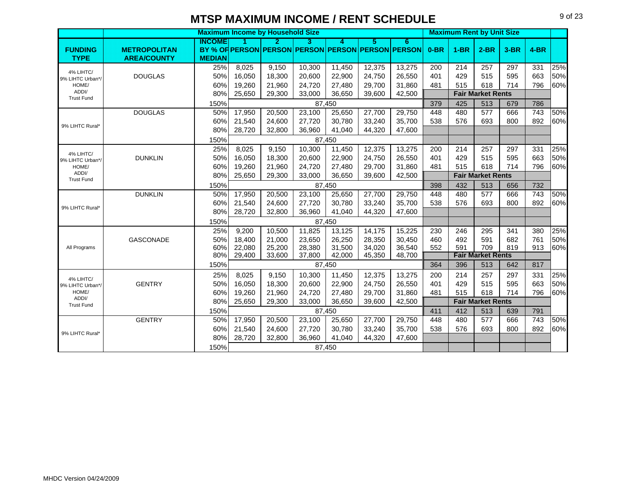|                            |                     |               | <b>Maximum Income by Household Size</b> |        |        |        |        |                                                   |        | <b>Maximum Rent by Unit Size</b> |                          |      |                  |     |
|----------------------------|---------------------|---------------|-----------------------------------------|--------|--------|--------|--------|---------------------------------------------------|--------|----------------------------------|--------------------------|------|------------------|-----|
|                            |                     | INGOME        | H.                                      | 2      | 3.     | л      | 5      | 6.                                                |        |                                  |                          |      |                  |     |
| <b>FUNDING</b>             | <b>METROPOLITAN</b> |               |                                         |        |        |        |        | BY % OF PERSON PERSON PERSON PERSON PERSON PERSON | $0-BR$ | $1-BR$                           | $2-BR$                   | 3-BR | $4-BR$           |     |
| <b>TYPE</b>                | <b>AREA/COUNTY</b>  | <b>MEDIAN</b> |                                         |        |        |        |        |                                                   |        |                                  |                          |      |                  |     |
| 4% LIHTC/                  |                     | 25%           | 8,025                                   | 9,150  | 10,300 | 11,450 | 12,375 | 13,275                                            | 200    | 214                              | 257                      | 297  | 331              | 25% |
| 9% LIHTC Urban*/           | <b>DOUGLAS</b>      | 50%           | 16,050                                  | 18,300 | 20,600 | 22,900 | 24,750 | 26,550                                            | 401    | 429                              | 515                      | 595  | 663              | 50% |
| HOME/                      |                     | 60%           | 19,260                                  | 21.960 | 24,720 | 27,480 | 29.700 | 31,860                                            | 481    | 515                              | 618                      | 714  | 796              | 60% |
| ADDI/<br><b>Trust Fund</b> |                     | 80%           | 25,650                                  | 29,300 | 33,000 | 36,650 | 39,600 | 42,500                                            |        |                                  | <b>Fair Market Rents</b> |      |                  |     |
|                            |                     | 150%          |                                         |        |        | 87,450 |        |                                                   | 379    | 425                              | 513                      | 679  | 786              |     |
|                            | <b>DOUGLAS</b>      | 50%           | 17,950                                  | 20,500 | 23,100 | 25,650 | 27,700 | 29,750                                            | 448    | 480                              | 577                      | 666  | $\overline{743}$ | 50% |
| 9% LIHTC Rural*            |                     | 60%           | 21,540                                  | 24,600 | 27,720 | 30,780 | 33,240 | 35,700                                            | 538    | 576                              | 693                      | 800  | 892              | 60% |
|                            |                     | 80%           | 28,720                                  | 32.800 | 36,960 | 41.040 | 44,320 | 47,600                                            |        |                                  |                          |      |                  |     |
|                            |                     | 150%          |                                         |        | 87,450 |        |        |                                                   |        |                                  |                          |      |                  |     |
| 4% LIHTC/                  |                     | 25%           | 8,025                                   | 9,150  | 10,300 | 11,450 | 12,375 | 13,275                                            | 200    | 214                              | 257                      | 297  | 331              | 25% |
| 9% LIHTC Urban*/           | <b>DUNKLIN</b>      | 50%           | 16,050                                  | 18.300 | 20,600 | 22,900 | 24,750 | 26,550                                            | 401    | 429                              | 515                      | 595  | 663              | 50% |
| HOME/                      |                     | 60%           | 19,260                                  | 21,960 | 24,720 | 27,480 | 29,700 | 31,860                                            | 481    | 515                              | 618                      | 714  | 796              | 60% |
| ADDI/<br><b>Trust Fund</b> |                     | 80%           | 25,650                                  | 29,300 | 33,000 | 36,650 | 39,600 | 42,500                                            |        |                                  | <b>Fair Market Rents</b> |      |                  |     |
|                            |                     | 150%          |                                         |        |        | 87.450 |        |                                                   | 398    | 432                              | 513                      | 656  | 732              |     |
|                            | <b>DUNKLIN</b>      | 50%           | 17,950                                  | 20,500 | 23,100 | 25,650 | 27,700 | 29,750                                            | 448    | 480                              | 577                      | 666  | 743              | 50% |
|                            |                     | 60%           | 21,540                                  | 24,600 | 27,720 | 30.780 | 33,240 | 35,700                                            | 538    | 576                              | 693                      | 800  | 892              | 60% |
| 9% LIHTC Rural*            |                     | 80%           | 28,720                                  | 32,800 | 36,960 | 41,040 | 44,320 | 47,600                                            |        |                                  |                          |      |                  |     |
|                            |                     | 150%          |                                         |        |        | 87,450 |        |                                                   |        |                                  |                          |      |                  |     |
|                            |                     | 25%           | 9,200                                   | 10,500 | 11,825 | 13,125 | 14,175 | 15,225                                            | 230    | 246                              | 295                      | 341  | 380              | 25% |
|                            | GASCONADE           | 50%           | 18,400                                  | 21,000 | 23,650 | 26,250 | 28,350 | 30,450                                            | 460    | 492                              | 591                      | 682  | 761              | 50% |
| All Programs               |                     | 60%           | 22,080                                  | 25,200 | 28,380 | 31,500 | 34,020 | 36,540                                            | 552    | 591                              | 709                      | 819  | 913              | 60% |
|                            |                     | 80%           | 29,400                                  | 33,600 | 37,800 | 42,000 | 45,350 | 48,700                                            |        |                                  | <b>Fair Market Rents</b> |      |                  |     |
|                            |                     | 150%          |                                         |        |        | 87,450 |        |                                                   | 364    | 396                              | 513                      | 642  | 817              |     |
| 4% LIHTC/                  |                     | 25%           | 8,025                                   | 9,150  | 10,300 | 11,450 | 12,375 | 13,275                                            | 200    | 214                              | 257                      | 297  | 331              | 25% |
| 9% LIHTC Urban*/           | <b>GENTRY</b>       | 50%           | 16,050                                  | 18,300 | 20,600 | 22,900 | 24,750 | 26,550                                            | 401    | 429                              | 515                      | 595  | 663              | 50% |
| HOME/                      |                     | 60%           | 19,260                                  | 21,960 | 24,720 | 27,480 | 29,700 | 31,860                                            | 481    | 515                              | 618                      | 714  | 796              | 60% |
| ADDI/<br><b>Trust Fund</b> |                     | 80%           | 25,650                                  | 29,300 | 33,000 | 36,650 | 39,600 | 42,500                                            |        |                                  | <b>Fair Market Rents</b> |      |                  |     |
|                            |                     | 150%          |                                         |        |        | 87.450 |        |                                                   | 411    | 412                              | 513                      | 639  | 791              |     |
|                            | <b>GENTRY</b>       | 50%           | 17,950                                  | 20,500 | 23,100 | 25,650 | 27,700 | 29,750                                            | 448    | 480                              | 577                      | 666  | 743              | 50% |
|                            |                     | 60%           | 21,540                                  | 24,600 | 27,720 | 30,780 | 33,240 | 35,700                                            | 538    | 576                              | 693                      | 800  | 892              | 60% |
| 9% LIHTC Rural*            |                     | 80%           | 28,720                                  | 32,800 | 36,960 | 41,040 | 44,320 | 47,600                                            |        |                                  |                          |      |                  |     |
|                            |                     | 150%          |                                         |        |        | 87,450 |        |                                                   |        |                                  |                          |      |                  |     |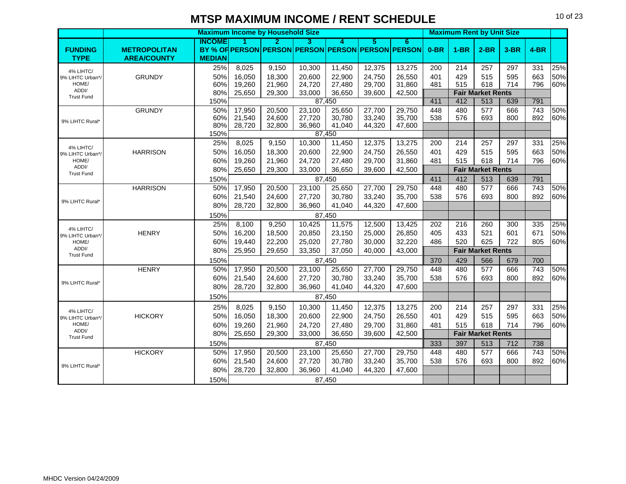|                           |                     |               | <b>Maximum Income by Household Size</b> |                  |                  | <b>Maximum Rent by Unit Size</b> |                  |                                                   |        |        |                          |        |        |     |
|---------------------------|---------------------|---------------|-----------------------------------------|------------------|------------------|----------------------------------|------------------|---------------------------------------------------|--------|--------|--------------------------|--------|--------|-----|
|                           |                     | INCOME        |                                         | 2                | B.               | A.                               | Б                | 6                                                 |        |        |                          |        |        |     |
| <b>FUNDING</b>            | <b>METROPOLITAN</b> |               |                                         |                  |                  |                                  |                  | BY % OF PERSON PERSON PERSON PERSON PERSON PERSON | $0-BR$ | $1-BR$ | $2-BR$                   | $3-BR$ | $4-BR$ |     |
| <b>TYPE</b>               | <b>AREA/COUNTY</b>  | <b>MEDIAN</b> |                                         |                  |                  |                                  |                  |                                                   |        |        |                          |        |        |     |
| 4% LIHTC/                 |                     | 25%           | 8,025                                   | 9,150            | 10,300           | 11,450                           | 12,375           | 13,275                                            | 200    | 214    | 257                      | 297    | 331    | 25% |
| 9% LIHTC Urban*/          | <b>GRUNDY</b>       | 50%           | 16.050                                  | 18.300           | 20,600           | 22,900                           | 24.750           | 26,550                                            | 401    | 429    | 515                      | 595    | 663    | 50% |
| HOME/<br>ADDI/            |                     | 60%           | 19,260                                  | 21,960           | 24,720           | 27,480                           | 29,700           | 31,860                                            | 481    | 515    | 618                      | 714    | 796    | 60% |
| <b>Trust Fund</b>         |                     | 80%           | 25,650                                  | 29,300           | 33,000           | 36,650                           | 39,600           | 42,500                                            |        |        | <b>Fair Market Rents</b> |        |        |     |
|                           |                     | 150%          |                                         |                  |                  | 87,450                           |                  |                                                   | 411    | 412    | 513                      | 639    | 791    |     |
|                           | <b>GRUNDY</b>       | 50%           | 17,950                                  | 20,500           | 23,100           | 25,650                           | 27,700           | 29,750                                            | 448    | 480    | 577                      | 666    | 743    | 50% |
| 9% LIHTC Rural*           |                     | 60%<br>80%    | 21,540<br>28,720                        | 24,600<br>32,800 | 27,720<br>36,960 | 30,780<br>41,040                 | 33,240<br>44,320 | 35,700<br>47,600                                  | 538    | 576    | 693                      | 800    | 892    | 60% |
|                           |                     | 150%          |                                         |                  |                  | 87,450                           |                  |                                                   |        |        |                          |        |        |     |
|                           |                     | 25%           | 8,025                                   | 9,150            | 10,300           | 11,450                           | 12,375           | 13,275                                            | 200    | 214    | 257                      | 297    | 331    | 25% |
| 4% LIHTC/                 | <b>HARRISON</b>     | 50%           | 16,050                                  | 18,300           | 20,600           | 22,900                           | 24,750           | 26,550                                            | 401    | 429    | 515                      | 595    | 663    | 50% |
| 9% LIHTC Urban*/<br>HOME/ |                     | 60%           | 19,260                                  | 21,960           | 24,720           | 27,480                           | 29,700           | 31,860                                            | 481    | 515    | 618                      | 714    | 796    | 60% |
| ADDI/                     |                     | 80%           | 25,650                                  | 29,300           | 33,000           | 36,650                           | 39,600           | 42,500                                            |        |        | <b>Fair Market Rents</b> |        |        |     |
| <b>Trust Fund</b>         |                     | 150%          |                                         |                  |                  | 87,450                           |                  |                                                   | 411    | 412    | 513                      | 639    | 791    |     |
|                           | <b>HARRISON</b>     | 50%           | 17,950                                  | 20,500           | 23,100           | 25,650                           | 27,700           | 29,750                                            | 448    | 480    | 577                      | 666    | 743    | 50% |
|                           |                     | 60%           | 21,540                                  | 24,600           | 27,720           | 30,780                           | 33,240           | 35,700                                            | 538    | 576    | 693                      | 800    | 892    | 60% |
| 9% LIHTC Rural*           |                     | 80%           | 28,720                                  | 32.800           | 36,960           | 41,040                           | 44,320           | 47,600                                            |        |        |                          |        |        |     |
|                           |                     | 150%          |                                         |                  |                  | 87,450                           |                  |                                                   |        |        |                          |        |        |     |
|                           |                     | 25%           | 8,100                                   | 9,250            | 10,425           | 11,575                           | 12,500           | 13,425                                            | 202    | 216    | 260                      | 300    | 335    | 25% |
| 4% LIHTC/                 | <b>HENRY</b>        | 50%           | 16,200                                  | 18,500           | 20,850           | 23,150                           | 25,000           | 26,850                                            | 405    | 433    | 521                      | 601    | 671    | 50% |
| 9% LIHTC Urban*/<br>HOME/ |                     | 60%           | 19,440                                  | 22,200           | 25,020           | 27,780                           | 30,000           | 32,220                                            | 486    | 520    | 625                      | 722    | 805    | 60% |
| ADDI/                     |                     | 80%           | 25,950                                  | 29,650           | 33,350           | 37,050                           | 40,000           | 43,000                                            |        |        | <b>Fair Market Rents</b> |        |        |     |
| <b>Trust Fund</b>         |                     | 150%          |                                         |                  |                  | 87,450                           |                  |                                                   | 370    | 429    | 566                      | 679    | 700    |     |
|                           | <b>HENRY</b>        | 50%           | 17,950                                  | 20,500           | 23,100           | 25,650                           | 27,700           | 29,750                                            | 448    | 480    | 577                      | 666    | 743    | 50% |
|                           |                     | 60%           | 21,540                                  | 24,600           | 27,720           | 30,780                           | 33,240           | 35,700                                            | 538    | 576    | 693                      | 800    | 892    | 60% |
| 9% LIHTC Rural*           |                     | 80%           | 28,720                                  | 32,800           | 36,960           | 41,040                           | 44,320           | 47,600                                            |        |        |                          |        |        |     |
|                           |                     | 150%          |                                         |                  |                  | 87,450                           |                  |                                                   |        |        |                          |        |        |     |
|                           |                     | 25%           | 8,025                                   | 9,150            | 10,300           | 11,450                           | 12,375           | 13,275                                            | 200    | 214    | 257                      | 297    | 331    | 25% |
| 4% LIHTC/                 | <b>HICKORY</b>      | 50%           | 16,050                                  | 18,300           | 20,600           | 22,900                           | 24,750           | 26,550                                            | 401    | 429    | 515                      | 595    | 663    | 50% |
| 9% LIHTC Urban*/<br>HOME/ |                     | 60%           | 19,260                                  | 21,960           | 24,720           | 27,480                           | 29.700           | 31,860                                            | 481    | 515    | 618                      | 714    | 796    | 60% |
| ADDI/                     |                     | 80%           | 25,650                                  | 29,300           | 33,000           | 36,650                           | 39,600           | 42,500                                            |        |        | <b>Fair Market Rents</b> |        |        |     |
| <b>Trust Fund</b>         |                     | 150%          |                                         |                  |                  | 87,450                           |                  |                                                   | 333    | 397    | 513                      | 712    | 738    |     |
|                           | <b>HICKORY</b>      | 50%           | 17,950                                  | 20,500           |                  |                                  |                  | 29,750                                            | 448    | 480    | 577                      | 666    | 743    | 50% |
|                           |                     | 60%           | 21,540                                  | 24,600           | 23,100<br>27,720 | 25,650<br>30,780                 | 27,700<br>33,240 | 35,700                                            | 538    | 576    | 693                      | 800    | 892    | 60% |
| 9% LIHTC Rural*           |                     | 80%           | 28,720                                  | 32,800           | 36,960           | 41.040                           | 44,320           | 47,600                                            |        |        |                          |        |        |     |
|                           |                     |               |                                         |                  |                  |                                  |                  |                                                   |        |        |                          |        |        |     |
|                           |                     | 150%          |                                         |                  |                  | 87.450                           |                  |                                                   |        |        |                          |        |        |     |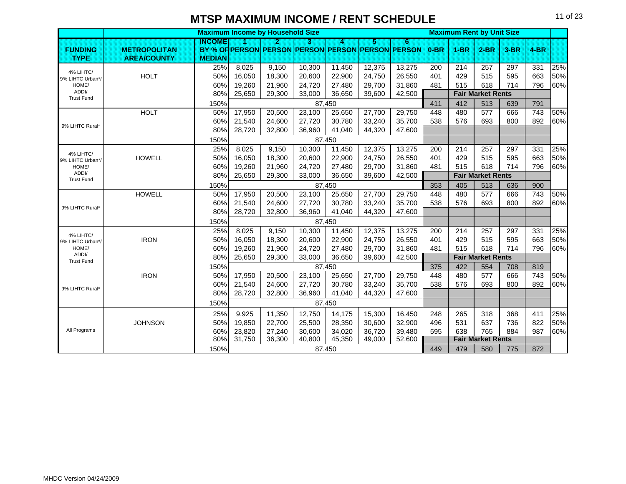|                            |                     |               |        | <b>Maximum Income by Household Size</b> |        |        |        |                                                   |        | <b>Maximum Rent by Unit Size</b> |                          |        |        |     |
|----------------------------|---------------------|---------------|--------|-----------------------------------------|--------|--------|--------|---------------------------------------------------|--------|----------------------------------|--------------------------|--------|--------|-----|
|                            |                     | INGOME        |        | 2                                       | з      | 4      | 5.     | 6                                                 |        |                                  |                          |        |        |     |
| <b>FUNDING</b>             | <b>METROPOLITAN</b> |               |        |                                         |        |        |        | BY % OF PERSON PERSON PERSON PERSON PERSON PERSON | $0-BR$ | $1-BR$                           | $2-BR$                   | $3-BR$ | $4-BR$ |     |
| <b>TYPE</b>                | <b>AREA/COUNTY</b>  | <b>MEDIAN</b> |        |                                         |        |        |        |                                                   |        |                                  |                          |        |        |     |
| 4% LIHTC/                  |                     | 25%           | 8,025  | 9,150                                   | 10,300 | 11,450 | 12,375 | 13,275                                            | 200    | 214                              | 257                      | 297    | 331    | 25% |
| 9% LIHTC Urban*/           | <b>HOLT</b>         | 50%           | 16,050 | 18,300                                  | 20,600 | 22,900 | 24,750 | 26,550                                            | 401    | 429                              | 515                      | 595    | 663    | 50% |
| HOME/<br>ADDI/             |                     | 60%           | 19,260 | 21,960                                  | 24,720 | 27,480 | 29,700 | 31,860                                            | 481    | 515                              | 618                      | 714    | 796    | 60% |
| <b>Trust Fund</b>          |                     | 80%           | 25,650 | 29,300                                  | 33,000 | 36,650 | 39,600 | 42,500                                            |        |                                  | <b>Fair Market Rents</b> |        |        |     |
|                            |                     | 150%          |        |                                         |        | 87,450 |        |                                                   | 411    | 412                              | 513                      | 639    | 791    |     |
|                            | <b>HOLT</b>         | 50%           | 17,950 | 20,500                                  | 23,100 | 25,650 | 27,700 | 29,750                                            | 448    | 480                              | 577                      | 666    | 743    | 50% |
| 9% LIHTC Rural*            |                     | 60%           | 21,540 | 24,600                                  | 27,720 | 30,780 | 33,240 | 35,700                                            | 538    | 576                              | 693                      | 800    | 892    | 60% |
|                            |                     | 80%           | 28,720 | 32,800                                  | 36,960 | 41,040 | 44,320 | 47,600                                            |        |                                  |                          |        |        |     |
|                            |                     | 150%          |        |                                         |        | 87,450 |        |                                                   |        |                                  |                          |        |        |     |
| 4% LIHTC/                  |                     | 25%           | 8,025  | 9,150                                   | 10,300 | 11,450 | 12,375 | 13,275                                            | 200    | 214                              | 257                      | 297    | 331    | 25% |
| 9% LIHTC Urban*/           | <b>HOWELL</b>       | 50%           | 16,050 | 18,300                                  | 20,600 | 22,900 | 24,750 | 26,550                                            | 401    | 429                              | 515                      | 595    | 663    | 50% |
| HOME/<br>ADDI/             |                     | 60%           | 19,260 | 21,960                                  | 24,720 | 27,480 | 29,700 | 31,860                                            | 481    | 515                              | 618                      | 714    | 796    | 60% |
| <b>Trust Fund</b>          |                     | 80%           | 25,650 | 29,300                                  | 33,000 | 36,650 | 39,600 | 42,500                                            |        |                                  | <b>Fair Market Rents</b> |        |        |     |
|                            |                     | 150%          |        |                                         | 87,450 |        |        |                                                   | 353    | 405                              | 513                      | 636    | 900    |     |
|                            | <b>HOWELL</b>       | 50%           | 17,950 | 20,500                                  | 23,100 | 25,650 | 27,700 | 29,750                                            | 448    | 480                              | 577                      | 666    | 743    | 50% |
| 9% LIHTC Rural*            |                     | 60%           | 21,540 | 24,600                                  | 27,720 | 30,780 | 33,240 | 35,700                                            | 538    | 576                              | 693                      | 800    | 892    | 60% |
|                            |                     | 80%           | 28,720 | 32,800                                  | 36,960 | 41,040 | 44,320 | 47,600                                            |        |                                  |                          |        |        |     |
|                            |                     | 150%          |        |                                         |        | 87,450 |        |                                                   |        |                                  |                          |        |        |     |
| 4% LIHTC/                  |                     | 25%           | 8,025  | 9,150                                   | 10,300 | 11,450 | 12,375 | 13,275                                            | 200    | 214                              | 257                      | 297    | 331    | 25% |
| 9% LIHTC Urban*/           | <b>IRON</b>         | 50%           | 16,050 | 18,300                                  | 20,600 | 22,900 | 24,750 | 26,550                                            | 401    | 429                              | 515                      | 595    | 663    | 50% |
| HOME/                      |                     | 60%           | 19,260 | 21,960                                  | 24,720 | 27,480 | 29,700 | 31,860                                            | 481    | 515                              | 618                      | 714    | 796    | 60% |
| ADDI/<br><b>Trust Fund</b> |                     | 80%           | 25,650 | 29,300                                  | 33,000 | 36,650 | 39,600 | 42,500                                            |        |                                  | <b>Fair Market Rents</b> |        |        |     |
|                            |                     | 150%          |        |                                         |        | 87,450 |        |                                                   | 375    | 422                              | 554                      | 708    | 819    |     |
|                            | <b>IRON</b>         | 50%           | 17,950 | 20,500                                  | 23,100 | 25,650 | 27,700 | 29,750                                            | 448    | 480                              | 577                      | 666    | 743    | 50% |
| 9% LIHTC Rural*            |                     | 60%           | 21,540 | 24.600                                  | 27,720 | 30,780 | 33,240 | 35,700                                            | 538    | 576                              | 693                      | 800    | 892    | 60% |
|                            |                     | 80%           | 28,720 | 32,800                                  | 36,960 | 41,040 | 44,320 | 47,600                                            |        |                                  |                          |        |        |     |
|                            |                     | 150%          |        |                                         |        | 87,450 |        |                                                   |        |                                  |                          |        |        |     |
|                            |                     | 25%           | 9,925  | 11,350                                  | 12,750 | 14,175 | 15,300 | 16,450                                            | 248    | 265                              | 318                      | 368    | 411    | 25% |
|                            | <b>JOHNSON</b>      | 50%           | 19,850 | 22,700                                  | 25,500 | 28,350 | 30,600 | 32,900                                            | 496    | 531                              | 637                      | 736    | 822    | 50% |
| All Programs               |                     | 60%           | 23,820 | 27,240                                  | 30,600 | 34,020 | 36,720 | 39,480                                            | 595    | 638                              | 765                      | 884    | 987    | 60% |
|                            |                     | 80%           | 31,750 | 36,300                                  | 40,800 | 45,350 | 49,000 | 52,600                                            |        |                                  | <b>Fair Market Rents</b> |        |        |     |
|                            |                     | 150%          |        |                                         |        | 87,450 |        |                                                   | 449    | 479                              | 580                      | 775    | 872    |     |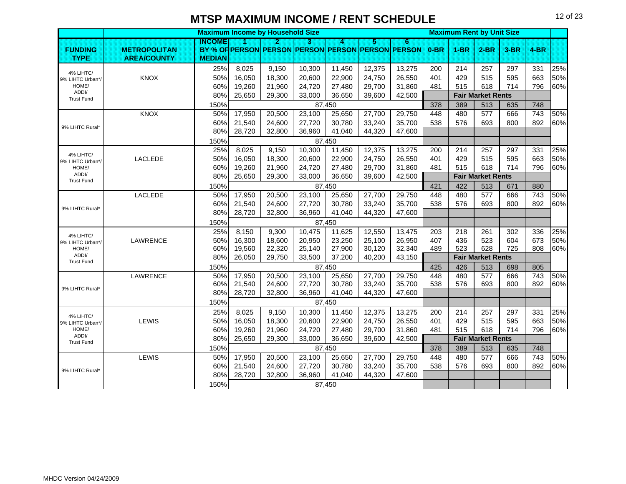**Maximum Income by Household Size All and School Control of Maximum Rent by Unit Size INCOME 123456 FUNDING METROPOLITAN BY % OF PERSON PERSON PERSON PERSON PERSON PERSON 0-BR 1-BR 2-BR 3-BR 4-BRTYPE AREA/COUNTMEDIAN** 25%| 8,025 | 9,150 | 10,300 | 11,450 | 12,375 | 13,275 | 200 | 214 | 257 | 297 | 331 |25% KNOXX | 50%| 16,050 | 18,300 | 20,600 | 22,900 | 24,750 | 26,550 | 401 | 429 | 515 | 595 | 663 |50% 60%| 19,260 | 21,960 | 24,720 | 27,480 | 29,700 | 31,860 | 481 | 515 | 618 | 714 | 796 |60% 80% 25,650 29,300 33,000 36,650 39,600 42,500 **Fair Market Rents** 150% 378 1.50% 37.450 378 378 389 1.513 1.535 1.748 KNOX 50% 17,950 20,500 23,100 25,650 27,700 29,750 448 480 577 666 743 50% 60%| 21,540 | 24,600 | 27,720 | 30,780 | 33,240 | 35,700 | 538 | 576 | 693 | 800 | 892 |60% 80% 28,720 32,800 36,960 41,040 44,320 47,600 150%25%| 8,025 | 9,150 | 10,300 | 11,450 | 12,375 | 13,275 | 200 | 214 | 257 | 297 | 331 |25% LACLEDEE | 50%| 16,050 | 18,300 | 20,600 | 22,900 | 24,750 | 26,550 | 401 | 429 | 515 | 595 | 663 |50% 60%| 19,260 | 21,960 | 24,720 | 27,480 | 29,700 | 31,860 | 481 | 515 | 618 | 714 | 796 |60% 80% 25,650 29,300 33,000 36,650 39,600 42,500 **Fair Market Rents** 150% 421 422 513 671 880LACLEDE 50% 17,950 20,500 23,100 25,650 27,700 29,750 448 480 577 666 743 50% 60%| 21,540 | 24,600 | 27,720 | 30,780 | 33,240 | 35,700 | 538 | 576 | 693 | 800 | 892 |60% 80% 28,720 32,800 36,960 41,040 44,320 47,600 150%25%| 8,150 | 9,300 | 10,475 | 11,625 | 12,550 | 13,475 | 203 | 218 | 261 | 302 | 336 |25% LAWRENCE 50% 16,300 18,600 20,950 23,250 25,100 26,950 407 436 523 604 673 50% 60%| 19,560 | 22,320 | 25,140 | 27,900 | 30,120 | 32,340 | 489 | 523 | 628 | 725 | 808 |60% 80% 26,050 29,750 33,500 37,200 40,200 43,150 **Fair Market Rents** 150% 425 426 426 513 488 598 1805 150% 698 513 514 514 514 514 514 514 515 516 517 518 519 51 LAWRENCE 50% 17,950 20,500 23,100 25,650 27,700 29,750 448 480 577 666 743 50% 60%| 21,540 | 24,600 | 27,720 | 30,780 | 33,240 | 35,700 | 538 | 576 | 693 | 800 | 892 |60% 80% 28,720 32,800 36,960 41,040 44,320 47,600 150%25%| 8,025 | 9,150 | 10,300 | 11,450 | 12,375 | 13,275 | 200 | 214 | 257 | 297 | 331 |25% LEWIS5 50%| 16,050 | 18,300 | 20,600 | 22,900 | 24,750 | 26,550 | 401 | 429 | 515 | 595 | 663 |50% 60%| 19,260 | 21,960 | 24,720 | 27,480 | 29,700 | 31,860 | 481 | 515 | 618 | 714 | 796 |60% 80% 25,650 29,300 33,000 36,650 39,600 42,500 **Fair Market Rents** 150% 378 1.50% 37.450 378 378 389 1.513 1.535 1.748 LEWIS50% 17,950 20,500 23,100 25,650 27,700 29,750 448 480 577 666 743 50% 60%| 21,540 | 24,600 | 27,720 | 30,780 | 33,240 | 35,700 | 538 | 576 | 693 | 800 | 892 |60% 80% 28,720 32,800 36,960 41,040 44,320 47,600 150%87,450 87,450 87,450 87,450 87,450 87,450 87,450 87,450 4% LIHTC/ 9% LIHTC Urban\*/ HOME/ ADDI/ Trust Fund9% LIHTC Rural\*4% LIHTC/ 9% LIHTC Urban\* HOME/ ADDI/ Trust Fund9% LIHTC Rural\*4% LIHTC/ 9% LIHTC Urban\* HOME/ ADDI/ Trust Fund9% LIHTC Rural\* 4% LIHTC/ 9% LIHTC Urban\* HOME/ ADDI/ Trust Fund9% LIHTC Rural\*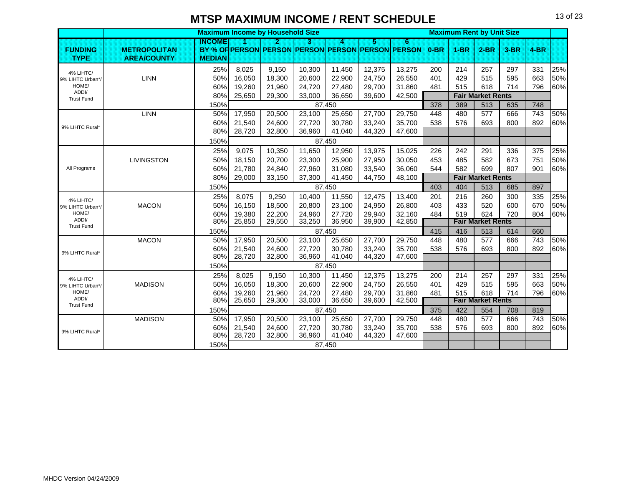|                            |                     |               | <b>Maximum Income by Household Size</b> |                  |                  |                  |                  |                                                        |        | <b>Maximum Rent by Unit Size</b> |                                 |        |                  |     |
|----------------------------|---------------------|---------------|-----------------------------------------|------------------|------------------|------------------|------------------|--------------------------------------------------------|--------|----------------------------------|---------------------------------|--------|------------------|-----|
| <b>FUNDING</b>             | <b>METROPOLITAN</b> | <b>INCOME</b> |                                         | 2.               | 3                | A                | 5                | 6<br>BY % OF PERSON PERSON PERSON PERSON PERSON PERSON | $0-BR$ | $1-BR$                           | $2-BR$                          | $3-BR$ | $4-BR$           |     |
| <b>TYPE</b>                | <b>AREA/COUNTY</b>  | <b>MEDIAN</b> |                                         |                  |                  |                  |                  |                                                        |        |                                  |                                 |        |                  |     |
| 4% LIHTC/                  |                     | 25%           | 8,025                                   | 9,150            | 10,300           | 11,450           | 12,375           | 13,275                                                 | 200    | 214                              | 257                             | 297    | 331              | 25% |
| 9% LIHTC Urban*/           | <b>LINN</b>         | 50%           | 16,050                                  | 18,300           | 20,600           | 22,900           | 24,750           | 26,550                                                 | 401    | 429                              | 515                             | 595    | 663              | 50% |
| HOME/                      |                     | 60%           | 19,260                                  | 21,960           | 24,720           | 27,480           | 29,700           | 31,860                                                 | 481    | 515                              | 618                             | 714    | 796              | 60% |
| ADDI/<br><b>Trust Fund</b> |                     | 80%           | 25,650                                  | 29,300           | 33,000           | 36,650           | 39,600           | 42,500                                                 |        |                                  | <b>Fair Market Rents</b>        |        |                  |     |
|                            |                     | 150%          |                                         |                  |                  | 87.450           |                  |                                                        | 378    | 389                              | 513                             | 635    | 748              |     |
|                            | <b>LINN</b>         | 50%           | 17,950                                  | 20,500           | 23,100           | 25,650           | 27,700           | 29,750                                                 | 448    | 480                              | 577                             | 666    | 743              | 50% |
|                            |                     | 60%           | 21,540                                  | 24,600           | 27,720           | 30,780           | 33,240           | 35,700                                                 | 538    | 576                              | 693                             | 800    | 892              | 60% |
| 9% LIHTC Rural*            |                     | 80%           | 28,720                                  | 32,800           | 36,960           | 41,040           | 44,320           | 47,600                                                 |        |                                  |                                 |        |                  |     |
|                            |                     | 150%          |                                         |                  |                  | 87,450           |                  |                                                        |        |                                  |                                 |        |                  |     |
|                            |                     | 25%           | 9,075                                   | 10,350           | 11,650           | 12,950           | 13,975           | 15,025                                                 | 226    | 242                              | 291                             | 336    | 375              | 25% |
|                            | <b>LIVINGSTON</b>   | 50%           | 18,150                                  | 20.700           | 23,300           | 25,900           | 27,950           | 30,050                                                 | 453    | 485                              | 582                             | 673    | 751              | 50% |
| All Programs               |                     | 60%           | 21,780                                  | 24,840           | 27,960           | 31,080           | 33,540           | 36,060                                                 | 544    | 582                              | 699                             | 807    | 901              | 60% |
|                            |                     | 80%           | 29,000                                  | 33,150           | 37,300           | 41,450           | 44,750           | 48,100                                                 |        |                                  | <b>Fair Market Rents</b>        |        |                  |     |
|                            |                     | 150%          |                                         |                  |                  | 87.450           |                  |                                                        | 403    | 404                              | 513                             | 685    | 897              |     |
| 4% LIHTC/                  |                     | 25%           | 8,075                                   | 9,250            | 10,400           | 11,550           | 12,475           | 13,400                                                 | 201    | 216                              | 260                             | 300    | 335              | 25% |
| 9% LIHTC Urban*/           | <b>MACON</b>        | 50%           | 16,150                                  | 18,500           | 20,800           | 23,100           | 24,950           | 26,800                                                 | 403    | 433                              | 520                             | 600    | 670              | 50% |
| HOME/                      |                     | 60%           | 19,380                                  | 22,200           | 24,960           | 27.720           | 29.940           | 32,160                                                 | 484    | 519                              | 624                             | 720    | 804              | 60% |
| ADDI/<br><b>Trust Fund</b> |                     | 80%           | 25,850                                  | 29,550           | 33,250           | 36,950           | 39,900           | 42,850                                                 |        |                                  | <b>Fair Market Rents</b>        |        |                  |     |
|                            |                     | 150%          |                                         |                  |                  | 87,450           |                  |                                                        | 415    | 416                              | 513                             | 614    | 660              |     |
|                            | <b>MACON</b>        | 50%           | 17,950                                  | 20,500           | 23,100           | 25,650           | 27,700           | 29,750                                                 | 448    | 480                              | 577                             | 666    | 743              | 50% |
| 9% LIHTC Rural*            |                     | 60%           | 21,540                                  | 24,600           | 27,720           | 30,780           | 33,240           | 35,700                                                 | 538    | 576                              | 693                             | 800    | 892              | 60% |
|                            |                     | 80%           | 28,720                                  | 32,800           | 36,960           | 41,040           | 44,320           | 47,600                                                 |        |                                  |                                 |        |                  |     |
|                            |                     | 150%          |                                         |                  |                  | 87,450           |                  |                                                        |        |                                  |                                 |        |                  |     |
| 4% LIHTC/                  |                     | 25%           | 8,025                                   | 9.150            | 10,300           | 11,450           | 12,375           | 13,275                                                 | 200    | 214                              | 257                             | 297    | 331              | 25% |
| 9% LIHTC Urban*/<br>HOME/  | <b>MADISON</b>      | 50%           | 16,050                                  | 18,300           | 20,600           | 22,900           | 24.750           | 26,550                                                 | 401    | 429                              | 515                             | 595    | 663              | 50% |
| ADDI/                      |                     | 60%<br>80%    | 19,260<br>25,650                        | 21,960<br>29,300 | 24,720<br>33,000 | 27,480<br>36,650 | 29,700<br>39,600 | 31,860<br>42,500                                       | 481    | 515                              | 618<br><b>Fair Market Rents</b> | 714    | 796              | 60% |
| <b>Trust Fund</b>          |                     | 150%          |                                         |                  |                  | 87,450           |                  |                                                        | 375    | 422                              | 554                             | 708    | 819              |     |
|                            | <b>MADISON</b>      | 50%           | 17,950                                  | 20,500           | 23,100           | 25,650           | 27,700           | 29,750                                                 | 448    | 480                              | 577                             | 666    | $\overline{743}$ | 50% |
|                            |                     | 60%           | 21,540                                  | 24,600           | 27,720           | 30,780           | 33,240           | 35,700                                                 | 538    | 576                              | 693                             | 800    | 892              | 60% |
| 9% LIHTC Rural*            |                     | 80%           | 28,720                                  | 32,800           | 36,960           | 41,040           | 44,320           | 47,600                                                 |        |                                  |                                 |        |                  |     |
|                            |                     | 150%          |                                         |                  |                  | 87,450           |                  |                                                        |        |                                  |                                 |        |                  |     |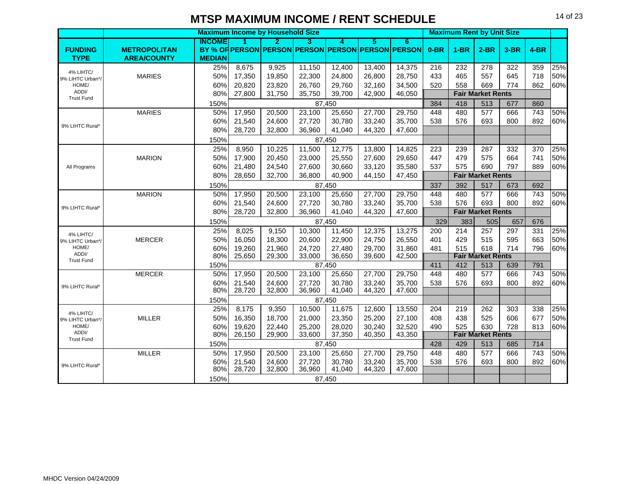|                   |                     |               |                  | <b>Maximum Income by Household Size</b> |                  |                  |                  |                                                   |        | <b>Maximum Rent by Unit Size</b> |                                 |        |                 |     |
|-------------------|---------------------|---------------|------------------|-----------------------------------------|------------------|------------------|------------------|---------------------------------------------------|--------|----------------------------------|---------------------------------|--------|-----------------|-----|
|                   |                     | <b>INCOME</b> |                  | 2                                       | 3.               | 4                | 5.               | 6.                                                |        |                                  |                                 |        |                 |     |
| <b>FUNDING</b>    | <b>METROPOLITAN</b> |               |                  |                                         |                  |                  |                  | BY % OF PERSON PERSON PERSON PERSON PERSON PERSON | $0-BR$ | $1-BR$                           | $2-BR$                          | $3-BR$ | $4-BR$          |     |
| <b>TYPE</b>       | <b>AREA/COUNTY</b>  | <b>MEDIAN</b> |                  |                                         |                  |                  |                  |                                                   |        |                                  |                                 |        |                 |     |
| 4% LIHTC/         |                     | 25%           | 8,675            | 9,925                                   | 11,150           | 12,400           | 13,400           | 14,375                                            | 216    | 232                              | 278                             | 322    | 359             | 25% |
| 9% LIHTC Urban*/  | <b>MARIES</b>       | 50%           | 17,350           | 19,850                                  | 22,300           | 24,800           | 26,800           | 28,750                                            | 433    | 465                              | 557                             | 645    | 718             | 50% |
| HOME/<br>ADDI/    |                     | 60%           | 20,820           | 23,820                                  | 26,760           | 29,760           | 32,160           | 34,500                                            | 520    | 558                              | 669                             | 774    | 862             | 60% |
| <b>Trust Fund</b> |                     | 80%           | 27,800           | 31,750                                  | 35,750           | 39,700           | 42,900           | 46,050                                            |        |                                  | <b>Fair Market Rents</b>        |        |                 |     |
|                   |                     | 150%          |                  |                                         |                  | 87.450           |                  |                                                   | 384    | 418                              | 513                             | 677    | 860             |     |
|                   | <b>MARIES</b>       | 50%           | 17,950           | 20,500                                  | 23,100           | 25,650           | 27,700           | 29,750                                            | 448    | 480                              | 577                             | 666    | 743             | 50% |
| 9% LIHTC Rural*   |                     | 60%           | 21,540           | 24,600                                  | 27,720           | 30,780           | 33,240           | 35,700                                            | 538    | 576                              | 693                             | 800    | 892             | 60% |
|                   |                     | 80%           | 28,720           | 32,800                                  | 36,960           | 41,040           | 44,320           | 47,600                                            |        |                                  |                                 |        |                 |     |
|                   |                     | 150%          |                  |                                         |                  | 87,450           |                  |                                                   |        |                                  |                                 |        |                 |     |
|                   |                     | 25%           | 8,950            | 10,225                                  | 11,500           | 12,775           | 13,800           | 14,825                                            | 223    | 239                              | 287                             | 332    | 370             | 25% |
|                   | <b>MARION</b>       | 50%           | 17,900           | 20,450                                  | 23,000           | 25,550           | 27,600           | 29,650                                            | 447    | 479                              | 575                             | 664    | 741             | 50% |
| All Programs      |                     | 60%           | 21,480           | 24.540                                  | 27,600           | 30.660           | 33.120           | 35,580                                            | 537    | 575                              | 690                             | 797    | 889             | 60% |
|                   |                     | 80%           | 28,650           | 32,700                                  | 36,800           | 40,900           | 44,150           | 47,450                                            |        |                                  | <b>Fair Market Rents</b>        |        |                 |     |
|                   |                     | 150%          |                  |                                         |                  | 87,450           |                  |                                                   | 337    | 392                              | 517                             | 673    | 692             |     |
|                   | <b>MARION</b>       | 50%           | 17,950           | 20,500                                  | 23,100           | 25,650           | 27,700           | 29,750                                            | 448    | 480                              | 577                             | 666    | 743             | 50% |
|                   |                     | 60%           | 21,540           | 24,600                                  | 27,720           | 30,780           | 33,240           | 35,700                                            | 538    | 576                              | 693                             | 800    | 892             | 60% |
| 9% LIHTC Rural*   |                     | 80%           | 28,720           | 32,800                                  | 36,960           | 41,040           | 44,320           | 47,600                                            |        |                                  | <b>Fair Market Rents</b>        |        |                 |     |
|                   |                     | 150%          |                  |                                         |                  | 87,450           |                  |                                                   | 329    | 383                              | 505                             | 657    | 676             |     |
| 4% LIHTC/         |                     | 25%           | 8,025            | 9,150                                   | 10,300           | 11,450           | 12,375           | 13,275                                            | 200    | 214                              | 257                             | 297    | 331             | 25% |
| 9% LIHTC Urban*/  | <b>MERCER</b>       | 50%           | 16,050           | 18,300                                  | 20,600           | 22,900           | 24,750           | 26,550                                            | 401    | 429                              | 515                             | 595    | 663             | 50% |
| HOME/<br>ADDI/    |                     | 60%           | 19,260           | 21,960                                  | 24,720           | 27,480           | 29,700           | 31,860                                            | 481    | 515                              | 618                             | 714    | 796             | 60% |
| <b>Trust Fund</b> |                     | 80%           | 25,650           | 29,300                                  | 33,000           | 36,650           | 39,600           | 42,500                                            |        |                                  | <b>Fair Market Rents</b>        |        |                 |     |
|                   |                     | 150%          |                  |                                         |                  | 87,450           |                  |                                                   | 411    | 412                              | 513                             | 639    | 791             |     |
|                   | <b>MERCER</b>       | 50%           | 17,950           | 20,500                                  | 23,100           | 25,650           | 27,700           | 29,750                                            | 448    | 480                              | 577                             | 666    | $\frac{1}{743}$ | 50% |
| 9% LIHTC Rural*   |                     | 60%           | 21,540           | 24,600                                  | 27,720           | 30,780           | 33,240           | 35,700                                            | 538    | 576                              | 693                             | 800    | 892             | 60% |
|                   |                     | 80%           | 28,720           | 32,800                                  | 36,960           | 41,040           | 44,320           | 47,600                                            |        |                                  |                                 |        |                 |     |
|                   |                     | 150%          |                  |                                         |                  | 87,450           |                  |                                                   |        |                                  |                                 |        |                 |     |
| 4% LIHTC/         |                     | 25%           | 8,175            | 9,350                                   | 10,500           | 11,675           | 12,600           | 13,550                                            | 204    | 219                              | 262                             | 303    | 338             | 25% |
| 9% LIHTC Urban*/  | <b>MILLER</b>       | 50%           | 16,350           | 18,700                                  | 21,000           | 23,350           | 25,200           | 27,100                                            | 408    | 438                              | 525                             | 606    | 677             | 50% |
| HOME/<br>ADDI/    |                     | 60%<br>80%    | 19,620<br>26,150 | 22,440<br>29,900                        | 25,200<br>33,600 | 28,020           | 30,240<br>40,350 | 32,520<br>43,350                                  | 490    | 525                              | 630<br><b>Fair Market Rents</b> | 728    | 813             | 60% |
| <b>Trust Fund</b> |                     |               |                  |                                         |                  | 37,350           |                  |                                                   |        |                                  |                                 |        |                 |     |
|                   |                     | 150%          |                  |                                         |                  | 87,450           |                  |                                                   | 428    | 429                              | 513                             | 685    | 714             |     |
|                   | <b>MILLER</b>       | 50%           | 17,950           | 20,500                                  | 23,100           | 25,650           | 27,700           | 29,750                                            | 448    | 480                              | 577                             | 666    | 743             | 50% |
| 9% LIHTC Rural*   |                     | 60%<br>80%    | 21,540<br>28,720 | 24,600<br>32,800                        | 27,720<br>36,960 | 30,780<br>41,040 | 33,240<br>44,320 | 35,700<br>47,600                                  | 538    | 576                              | 693                             | 800    | 892             | 60% |
|                   |                     |               |                  |                                         |                  |                  |                  |                                                   |        |                                  |                                 |        |                 |     |
|                   |                     | 150%          |                  |                                         |                  | 87,450           |                  |                                                   |        |                                  |                                 |        |                 |     |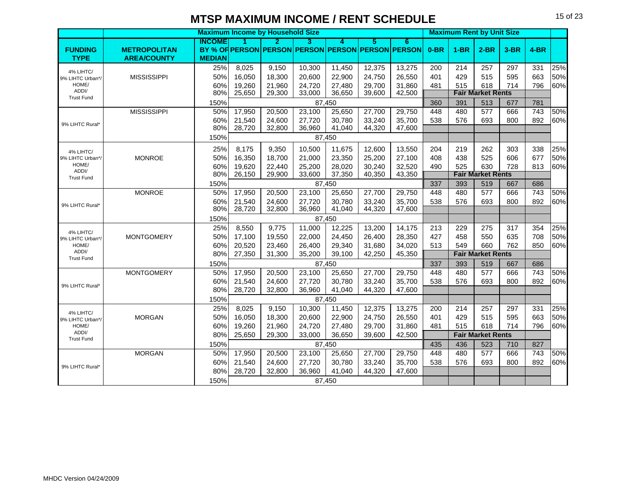|                               |                     |               |        | <b>Maximum Income by Household Size</b>           |        |        |        |        |        | <b>Maximum Rent by Unit Size</b> |                          |        |                  |     |
|-------------------------------|---------------------|---------------|--------|---------------------------------------------------|--------|--------|--------|--------|--------|----------------------------------|--------------------------|--------|------------------|-----|
|                               |                     | INCOME        |        | 2                                                 | з      | л      | 5      | 6.     |        |                                  |                          |        |                  |     |
| <b>FUNDING</b>                | <b>METROPOLITAN</b> |               |        | BY % OF PERSON PERSON PERSON PERSON PERSON PERSON |        |        |        |        | $0-BR$ | $1-BR$                           | $2-BR$                   | $3-BR$ | $4-BR$           |     |
| <b>TYPE</b>                   | <b>AREA/COUNTY</b>  | <b>MEDIAN</b> |        |                                                   |        |        |        |        |        |                                  |                          |        |                  |     |
| 4% LIHTC/                     |                     | 25%           | 8,025  | 9,150                                             | 10,300 | 11,450 | 12,375 | 13,275 | 200    | 214                              | 257                      | 297    | 331              | 25% |
| 9% LIHTC Urban*/              | <b>MISSISSIPPI</b>  | 50%           | 16,050 | 18,300                                            | 20,600 | 22,900 | 24,750 | 26,550 | 401    | 429                              | 515                      | 595    | 663              | 50% |
| HOME/<br>ADDI/                |                     | 60%           | 19,260 | 21,960                                            | 24,720 | 27,480 | 29,700 | 31,860 | 481    | 515                              | 618                      | 714    | 796              | 60% |
| <b>Trust Fund</b>             |                     | 80%           | 25,650 | 29,300                                            | 33,000 | 36,650 | 39,600 | 42,500 |        |                                  | <b>Fair Market Rents</b> |        |                  |     |
|                               |                     | 150%          |        |                                                   |        | 87,450 |        |        | 360    | 391                              | 513                      | 677    | 781              |     |
|                               | <b>MISSISSIPPI</b>  | 50%           | 17,950 | 20,500                                            | 23,100 | 25,650 | 27,700 | 29,750 | 448    | 480                              | 577                      | 666    | 743              | 50% |
| 9% LIHTC Rural*               |                     | 60%           | 21,540 | 24,600                                            | 27,720 | 30,780 | 33,240 | 35,700 | 538    | 576                              | 693                      | 800    | 892              | 60% |
|                               |                     | 80%           | 28,720 | 32,800                                            | 36,960 | 41,040 | 44,320 | 47,600 |        |                                  |                          |        |                  |     |
|                               |                     | 150%          |        |                                                   |        | 87,450 |        |        |        |                                  |                          |        |                  |     |
| 4% LIHTC/                     |                     | 25%           | 8,175  | 9,350                                             | 10,500 | 11,675 | 12,600 | 13,550 | 204    | 219                              | 262                      | 303    | 338              | 25% |
| 9% LIHTC Urban*/              | <b>MONROE</b>       | 50%           | 16,350 | 18,700                                            | 21,000 | 23,350 | 25,200 | 27,100 | 408    | 438                              | 525                      | 606    | 677              | 50% |
| HOME/                         |                     | 60%           | 19,620 | 22,440                                            | 25,200 | 28,020 | 30,240 | 32,520 | 490    | 525                              | 630                      | 728    | 813              | 60% |
| ADDI/<br><b>Trust Fund</b>    |                     | 80%           | 26,150 | 29,900                                            | 33,600 | 37,350 | 40,350 | 43,350 |        |                                  | <b>Fair Market Rents</b> |        |                  |     |
|                               |                     | 150%          |        |                                                   |        | 87,450 |        |        | 337    | 393                              | 519                      | 667    | 686              |     |
|                               | <b>MONROE</b>       | 50%           | 17,950 | 20,500                                            | 23,100 | 25,650 | 27,700 | 29,750 | 448    | 480                              | 577                      | 666    | $\overline{743}$ | 50% |
| 9% LIHTC Rural*               |                     | 60%           | 21,540 | 24.600                                            | 27,720 | 30,780 | 33,240 | 35,700 | 538    | 576                              | 693                      | 800    | 892              | 60% |
|                               |                     | 80%           | 28,720 | 32,800                                            | 36,960 | 41,040 | 44,320 | 47,600 |        |                                  |                          |        |                  |     |
|                               |                     | 150%          |        |                                                   |        | 87,450 |        |        |        |                                  |                          |        |                  |     |
| 4% LIHTC/                     |                     | 25%           | 8,550  | 9,775                                             | 11,000 | 12,225 | 13,200 | 14,175 | 213    | 229                              | 275                      | 317    | 354              | 25% |
| 9% LIHTC Urban*/              | <b>MONTGOMERY</b>   | 50%           | 17,100 | 19,550                                            | 22,000 | 24,450 | 26,400 | 28,350 | 427    | 458                              | 550                      | 635    | 708              | 50% |
| HOME/                         |                     | 60%           | 20,520 | 23,460                                            | 26,400 | 29,340 | 31,680 | 34,020 | 513    | 549                              | 660                      | 762    | 850              | 60% |
| ADDI/<br><b>Trust Fund</b>    |                     | 80%           | 27,350 | 31,300                                            | 35,200 | 39,100 | 42,250 | 45,350 |        |                                  | <b>Fair Market Rents</b> |        |                  |     |
|                               |                     | 150%          |        |                                                   |        | 87,450 |        |        | 337    | 393                              | 519                      | 667    | 686              |     |
|                               | <b>MONTGOMERY</b>   | 50%           | 17,950 | 20,500                                            | 23,100 | 25,650 | 27,700 | 29,750 | 448    | 480                              | 577                      | 666    | $\overline{743}$ | 50% |
|                               |                     | 60%           | 21,540 | 24,600                                            | 27,720 | 30,780 | 33,240 | 35,700 | 538    | 576                              | 693                      | 800    | 892              | 60% |
| 9% LIHTC Rural*               |                     | 80%           | 28,720 | 32,800                                            | 36,960 | 41,040 | 44,320 | 47,600 |        |                                  |                          |        |                  |     |
|                               |                     | 150%          |        |                                                   |        | 87,450 |        |        |        |                                  |                          |        |                  |     |
|                               |                     | 25%           | 8,025  | 9,150                                             | 10,300 | 11,450 | 12,375 | 13,275 | 200    | 214                              | 257                      | 297    | 331              | 25% |
| 4% LIHTC/<br>9% LIHTC Urban*/ | <b>MORGAN</b>       | 50%           | 16,050 | 18,300                                            | 20,600 | 22,900 | 24,750 | 26,550 | 401    | 429                              | 515                      | 595    | 663              | 50% |
| HOME/                         |                     | 60%           | 19,260 | 21,960                                            | 24,720 | 27,480 | 29.700 | 31,860 | 481    | 515                              | 618                      | 714    | 796              | 60% |
| ADDI/                         |                     | 80%           | 25,650 | 29,300                                            | 33,000 | 36,650 | 39,600 | 42,500 |        |                                  | <b>Fair Market Rents</b> |        |                  |     |
| <b>Trust Fund</b>             |                     | 150%          |        |                                                   |        | 87.450 |        |        | 435    | 436                              | 523                      | 710    | 827              |     |
|                               | <b>MORGAN</b>       | 50%           | 17,950 | 20,500                                            | 23,100 | 25,650 | 27,700 | 29,750 | 448    | 480                              | 577                      | 666    | 743              | 50% |
|                               |                     | 60%           | 21,540 | 24,600                                            | 27,720 | 30,780 | 33,240 | 35,700 | 538    | 576                              | 693                      | 800    | 892              | 60% |
| 9% LIHTC Rural*               |                     | 80%           | 28,720 | 32,800                                            | 36,960 | 41,040 | 44,320 | 47,600 |        |                                  |                          |        |                  |     |
|                               |                     | 150%          |        |                                                   |        | 87.450 |        |        |        |                                  |                          |        |                  |     |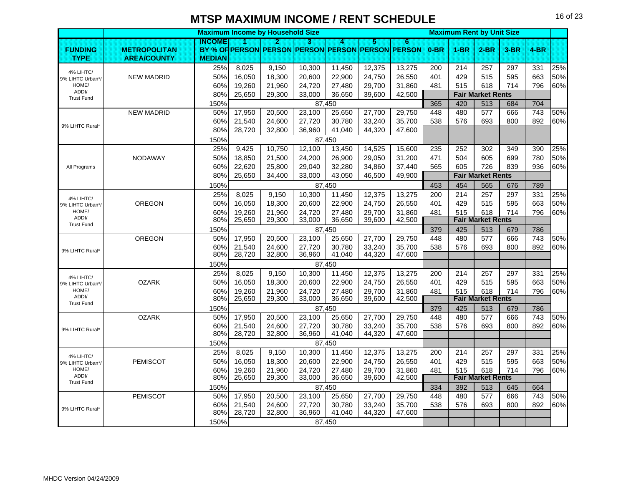|                               |                     | <b>Maximum Income by Household Size</b> |                  |                  |                  |                  |                  |                                                   |            | <b>Maximum Rent by Unit Size</b> |                                 |            |                 |     |
|-------------------------------|---------------------|-----------------------------------------|------------------|------------------|------------------|------------------|------------------|---------------------------------------------------|------------|----------------------------------|---------------------------------|------------|-----------------|-----|
|                               |                     | INCOME                                  | n                | 2                | В                | $\boldsymbol{A}$ | 5                | 6                                                 |            |                                  |                                 |            |                 |     |
| <b>FUNDING</b>                | <b>METROPOLITAN</b> |                                         |                  |                  |                  |                  |                  | BY % OF PERSON PERSON PERSON PERSON PERSON PERSON | $0-BR$     | $1 - BR$                         | $2$ -BR                         | 3-BR       | $4-BR$          |     |
| <b>TYPE</b>                   | <b>AREA/COUNTY</b>  | <b>MEDIAN</b>                           | 8,025            |                  |                  |                  |                  | 13,275                                            |            |                                  |                                 |            |                 | 25% |
| 4% LIHTC/                     | <b>NEW MADRID</b>   | 25%<br>50%                              | 16,050           | 9,150<br>18,300  | 10,300<br>20,600 | 11,450<br>22,900 | 12,375<br>24,750 | 26,550                                            | 200<br>401 | 214<br>429                       | 257<br>515                      | 297<br>595 | 331<br>663      | 50% |
| 9% LIHTC Urban*/<br>HOME/     |                     | 60%                                     | 19,260           | 21,960           | 24,720           | 27,480           | 29,700           | 31,860                                            | 481        | 515                              | 618                             | 714        | 796             | 60% |
| ADDI/                         |                     | 80%                                     | 25,650           | 29,300           | 33,000           | 36,650           | 39,600           | 42,500                                            |            |                                  | <b>Fair Market Rents</b>        |            |                 |     |
| <b>Trust Fund</b>             |                     | 150%                                    |                  |                  |                  | 87,450           |                  |                                                   | 365        | 420                              | 513                             | 684        | 704             |     |
|                               | <b>NEW MADRID</b>   | 50%                                     | 17,950           | 20,500           | 23,100           | 25,650           | 27,700           | 29,750                                            | 448        | 480                              | 577                             | 666        | $\frac{1}{743}$ | 50% |
|                               |                     | 60%                                     | 21,540           | 24,600           | 27,720           | 30,780           | 33,240           | 35,700                                            | 538        | 576                              | 693                             | 800        | 892             | 60% |
| 9% LIHTC Rural*               |                     | 80%                                     | 28,720           | 32,800           | 36,960           | 41,040           | 44,320           | 47,600                                            |            |                                  |                                 |            |                 |     |
|                               |                     | 150%                                    |                  |                  |                  | 87,450           |                  |                                                   |            |                                  |                                 |            |                 |     |
|                               |                     | 25%                                     | 9,425            | 10,750           | 12,100           | 13,450           | 14,525           | 15,600                                            | 235        | 252                              | 302                             | 349        | 390             | 25% |
|                               | <b>NODAWAY</b>      | 50%                                     | 18,850           | 21,500           | 24,200           | 26,900           | 29,050           | 31,200                                            | 471        | 504                              | 605                             | 699        | 780             | 50% |
| All Programs                  |                     | 60%                                     | 22,620           | 25,800           | 29,040           | 32,280           | 34,860           | 37,440                                            | 565        | 605                              | 726                             | 839        | 936             | 60% |
|                               |                     | 80%                                     | 25,650           | 34,400           | 33,000           | 43,050           | 46,500           | 49,900                                            |            |                                  | <b>Fair Market Rents</b>        |            |                 |     |
|                               |                     | 150%                                    |                  |                  |                  | 87,450           |                  |                                                   | 453        | 454                              | 565                             | 676        | 789             |     |
| 4% LIHTC/                     |                     | 25%                                     | 8,025            | 9,150            | 10,300           | 11,450           | 12,375           | 13,275                                            | 200        | 214                              | 257                             | 297        | 331             | 25% |
| 9% LIHTC Urban*/              | <b>OREGON</b>       | 50%                                     | 16,050           | 18,300           | 20,600           | 22,900           | 24,750           | 26,550                                            | 401        | 429                              | 515                             | 595        | 663             | 50% |
| HOME/<br>ADDI/                |                     | 60%                                     | 19,260           | 21,960           | 24,720           | 27,480           | 29,700           | 31,860                                            | 481        | 515                              | 618                             | 714        | 796             | 60% |
| <b>Trust Fund</b>             |                     | 80%                                     | 25,650           | 29,300           | 33,000           | 36,650           | 39,600           | 42,500                                            |            |                                  | <b>Fair Market Rents</b>        |            |                 |     |
|                               |                     | 150%                                    |                  |                  |                  | 87,450           |                  |                                                   | 379        | 425                              | 513                             | 679        | 786             |     |
|                               | OREGON              | 50%                                     | 17,950           | 20,500           | 23,100           | 25,650           | 27,700           | 29,750                                            | 448        | 480                              | 577                             | 666        | 743             | 50% |
| 9% LIHTC Rural*               |                     | 60%<br>80%                              | 21,540<br>28,720 | 24,600<br>32,800 | 27,720<br>36,960 | 30,780<br>41,040 | 33,240<br>44,320 | 35,700<br>47,600                                  | 538        | 576                              | 693                             | 800        | 892             | 60% |
|                               |                     | 150%                                    |                  |                  |                  | 87.450           |                  |                                                   |            |                                  |                                 |            |                 |     |
|                               |                     | 25%                                     | 8,025            | 9,150            | 10,300           | 11,450           | 12,375           | 13,275                                            | 200        | 214                              | 257                             | 297        | 331             | 25% |
| 4% LIHTC/<br>9% LIHTC Urban*/ | <b>OZARK</b>        | 50%                                     | 16,050           | 18,300           | 20,600           | 22,900           | 24,750           | 26,550                                            | 401        | 429                              | 515                             | 595        | 663             | 50% |
| HOME/                         |                     | 60%                                     | 19,260           | 21,960           | 24,720           | 27,480           | 29.700           | 31,860                                            | 481        | 515                              | 618                             | 714        | 796             | 60% |
| ADDI/<br><b>Trust Fund</b>    |                     | 80%                                     | 25,650           | 29,300           | 33,000           | 36,650           | 39,600           | 42,500                                            |            |                                  | <b>Fair Market Rents</b>        |            |                 |     |
|                               |                     | 150%                                    |                  |                  |                  | 87,450           |                  |                                                   | 379        | 425                              | 513                             | 679        | 786             |     |
|                               | <b>OZARK</b>        | 50%                                     | 17,950           | 20,500           | 23,100           | 25,650           | 27,700           | 29,750                                            | 448        | 480                              | 577                             | 666        | 743             | 50% |
| 9% LIHTC Rural*               |                     | 60%                                     | 21,540           | 24.600           | 27,720           | 30.780           | 33.240           | 35,700                                            | 538        | 576                              | 693                             | 800        | 892             | 60% |
|                               |                     | 80%                                     | 28,720           | 32,800           | 36,960           | 41,040           | 44,320           | 47,600                                            |            |                                  |                                 |            |                 |     |
|                               |                     | 150%                                    |                  |                  |                  | 87,450           |                  |                                                   |            |                                  |                                 |            |                 |     |
| 4% LIHTC/                     |                     | 25%                                     | 8,025            | 9,150            | 10,300           | 11,450           | 12,375           | 13,275                                            | 200        | 214                              | 257                             | 297        | 331             | 25% |
| 9% LIHTC Urban*/<br>HOME/     | <b>PEMISCOT</b>     | 50%                                     | 16,050           | 18,300           | 20,600           | 22,900           | 24,750           | 26,550                                            | 401        | 429                              | 515                             | 595        | 663             | 50% |
| ADDI/                         |                     | 60%<br>80%                              | 19,260<br>25,650 | 21,960<br>29,300 | 24,720<br>33,000 | 27,480<br>36,650 | 29,700<br>39,600 | 31,860<br>42,500                                  | 481        | 515                              | 618<br><b>Fair Market Rents</b> | 714        | 796             | 60% |
| <b>Trust Fund</b>             |                     | 150%                                    |                  |                  |                  | 87,450           |                  |                                                   | 334        | 392                              | 513                             | 645        | 664             |     |
|                               | <b>PEMISCOT</b>     | 50%                                     | 17,950           | 20,500           | 23,100           | 25,650           | 27,700           | 29,750                                            | 448        | 480                              | 577                             | 666        | 743             | 50% |
|                               |                     | 60%                                     | 21,540           | 24,600           | 27,720           | 30,780           | 33,240           | 35,700                                            | 538        | 576                              | 693                             | 800        | 892             | 60% |
| 9% LIHTC Rural*               |                     | 80%                                     | 28,720           | 32,800           | 36,960           | 41,040           | 44,320           | 47,600                                            |            |                                  |                                 |            |                 |     |
|                               |                     | 150%                                    |                  |                  |                  | 87,450           |                  |                                                   |            |                                  |                                 |            |                 |     |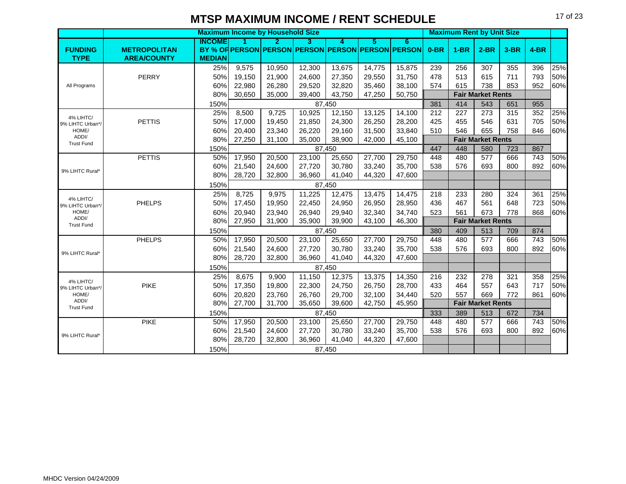|                               |                     |               | <b>Maximum Income by Household Size</b> |        |        |        |        |                                                   |        | <b>Maximum Rent by Unit Size</b> |                          |        |        |     |
|-------------------------------|---------------------|---------------|-----------------------------------------|--------|--------|--------|--------|---------------------------------------------------|--------|----------------------------------|--------------------------|--------|--------|-----|
|                               |                     | INCOME        |                                         | 2.     | B      | 4      | 5.     | 6                                                 |        |                                  |                          |        |        |     |
| <b>FUNDING</b>                | <b>METROPOLITAN</b> |               |                                         |        |        |        |        | BY % OF PERSON PERSON PERSON PERSON PERSON PERSON | $0-BR$ | $1-BR$                           | $2-BR$                   | $3-BR$ | $4-BR$ |     |
| <b>TYPE</b>                   | <b>AREA/COUNTY</b>  | <b>MEDIAN</b> |                                         |        |        |        |        |                                                   |        |                                  |                          |        |        |     |
|                               |                     | 25%           | 9,575                                   | 10,950 | 12,300 | 13,675 | 14,775 | 15,875                                            | 239    | 256                              | 307                      | 355    | 396    | 25% |
|                               | PERRY               | 50%           | 19,150                                  | 21,900 | 24,600 | 27,350 | 29,550 | 31,750                                            | 478    | 513                              | 615                      | 711    | 793    | 50% |
| All Programs                  |                     | 60%           | 22,980                                  | 26,280 | 29,520 | 32,820 | 35,460 | 38,100                                            | 574    | 615                              | 738                      | 853    | 952    | 60% |
|                               |                     | 80%           | 30,650                                  | 35,000 | 39,400 | 43,750 | 47,250 | 50,750                                            |        |                                  | <b>Fair Market Rents</b> |        |        |     |
|                               |                     | 150%          |                                         |        |        | 87,450 |        |                                                   | 381    | 414                              | 543                      | 651    | 955    |     |
| 4% LIHTC/                     |                     | 25%           | 8,500                                   | 9,725  | 10,925 | 12,150 | 13,125 | 14,100                                            | 212    | 227                              | 273                      | 315    | 352    | 25% |
| 9% LIHTC Urban*/              | <b>PETTIS</b>       | 50%           | 17,000                                  | 19,450 | 21,850 | 24,300 | 26,250 | 28,200                                            | 425    | 455                              | 546                      | 631    | 705    | 50% |
| HOME/<br>ADDI/                |                     | 60%           | 20,400                                  | 23,340 | 26,220 | 29,160 | 31,500 | 33,840                                            | 510    | 546                              | 655                      | 758    | 846    | 60% |
| <b>Trust Fund</b>             |                     | 80%           | 27,250                                  | 31,100 | 35,000 | 38,900 | 42,000 | 45,100                                            |        |                                  | <b>Fair Market Rents</b> |        |        |     |
|                               |                     | 150%          |                                         |        |        | 87,450 |        |                                                   | 447    | 448                              | 580                      | 723    | 867    |     |
|                               | <b>PETTIS</b>       | 50%           | 17,950                                  | 20,500 | 23,100 | 25,650 | 27,700 | 29,750                                            | 448    | 480                              | 577                      | 666    | 743    | 50% |
| 9% LIHTC Rural*               |                     | 60%           | 21,540                                  | 24,600 | 27,720 | 30,780 | 33,240 | 35,700                                            | 538    | 576                              | 693                      | 800    | 892    | 60% |
|                               |                     | 80%           | 28,720                                  | 32,800 | 36,960 | 41,040 | 44,320 | 47,600                                            |        |                                  |                          |        |        |     |
|                               |                     | 150%          |                                         |        |        | 87,450 |        |                                                   |        |                                  |                          |        |        |     |
| 4% LIHTC/                     |                     | 25%           | 8,725                                   | 9,975  | 11,225 | 12,475 | 13,475 | 14,475                                            | 218    | 233                              | 280                      | 324    | 361    | 25% |
| 9% LIHTC Urban*/              | <b>PHELPS</b>       | 50%           | 17,450                                  | 19,950 | 22,450 | 24,950 | 26,950 | 28,950                                            | 436    | 467                              | 561                      | 648    | 723    | 50% |
| HOME/                         |                     | 60%           | 20,940                                  | 23,940 | 26,940 | 29,940 | 32,340 | 34,740                                            | 523    | 561                              | 673                      | 778    | 868    | 60% |
| ADDI/<br><b>Trust Fund</b>    |                     | 80%           | 27,950                                  | 31,900 | 35,900 | 39,900 | 43,100 | 46,300                                            |        |                                  | <b>Fair Market Rents</b> |        |        |     |
|                               |                     | 150%          |                                         |        |        | 87,450 |        |                                                   | 380    | 409                              | 513                      | 709    | 874    |     |
|                               | <b>PHELPS</b>       | 50%           | 17,950                                  | 20,500 | 23,100 | 25,650 | 27,700 | 29,750                                            | 448    | 480                              | 577                      | 666    | 743    | 50% |
|                               |                     | 60%           | 21,540                                  | 24,600 | 27,720 | 30,780 | 33,240 | 35,700                                            | 538    | 576                              | 693                      | 800    | 892    | 60% |
| 9% LIHTC Rural*               |                     | 80%           | 28,720                                  | 32,800 | 36,960 | 41,040 | 44,320 | 47,600                                            |        |                                  |                          |        |        |     |
|                               |                     | 150%          |                                         |        |        | 87,450 |        |                                                   |        |                                  |                          |        |        |     |
|                               |                     | 25%           | 8,675                                   | 9,900  | 11,150 | 12,375 | 13,375 | 14,350                                            | 216    | 232                              | 278                      | 321    | 358    | 25% |
| 4% LIHTC/<br>9% LIHTC Urban*/ | PIKE                | 50%           | 17,350                                  | 19,800 | 22,300 | 24,750 | 26,750 | 28,700                                            | 433    | 464                              | 557                      | 643    | 717    | 50% |
| HOME/                         |                     | 60%           | 20,820                                  | 23,760 | 26,760 | 29,700 | 32,100 | 34,440                                            | 520    | 557                              | 669                      | 772    | 861    | 60% |
| ADDI/                         |                     | 80%           | 27,700                                  | 31,700 | 35,650 | 39,600 | 42,750 | 45,950                                            |        |                                  | <b>Fair Market Rents</b> |        |        |     |
| <b>Trust Fund</b>             |                     | 150%          |                                         |        |        | 87,450 |        |                                                   | 333    | 389                              | 513                      | 672    | 734    |     |
|                               | <b>PIKE</b>         | 50%           | 17,950                                  | 20,500 | 23,100 | 25,650 | 27,700 | 29,750                                            | 448    | 480                              | 577                      | 666    | 743    | 50% |
|                               |                     | 60%           | 21,540                                  | 24,600 | 27,720 | 30,780 | 33,240 | 35,700                                            | 538    | 576                              | 693                      | 800    | 892    | 60% |
| 9% LIHTC Rural*               |                     | 80%           | 28,720                                  | 32,800 | 36,960 | 41,040 | 44,320 | 47,600                                            |        |                                  |                          |        |        |     |
|                               |                     | 150%          |                                         |        |        | 87,450 |        |                                                   |        |                                  |                          |        |        |     |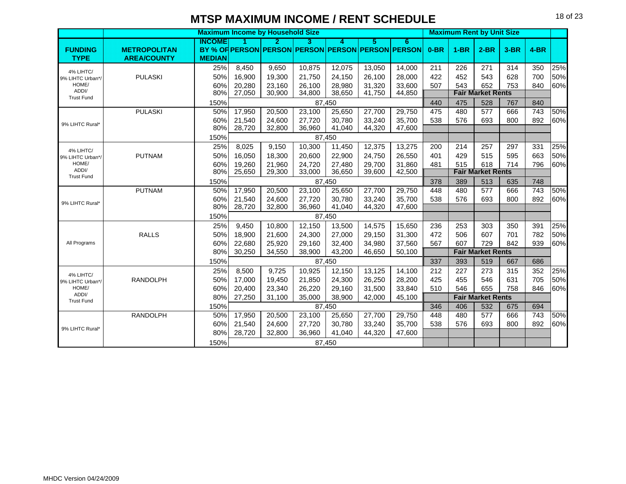|                               |                     |               |                  | <b>Maximum Income by Household Size</b> |                  |                  |                  |                                                   |        | <b>Maximum Rent by Unit Size</b> |                          |        |        |     |
|-------------------------------|---------------------|---------------|------------------|-----------------------------------------|------------------|------------------|------------------|---------------------------------------------------|--------|----------------------------------|--------------------------|--------|--------|-----|
|                               |                     | ING OME       |                  | 2.                                      | B                | Δ                | 5.               | 6                                                 |        |                                  |                          |        |        |     |
| <b>FUNDING</b>                | <b>METROPOLITAN</b> |               |                  |                                         |                  |                  |                  | BY % OF PERSON PERSON PERSON PERSON PERSON PERSON | $0-BR$ | $1-BR$                           | $2-BR$                   | $3-BR$ | $4-BR$ |     |
| <b>TYPE</b>                   | <b>AREA/COUNTY</b>  | <b>MEDIAN</b> |                  |                                         |                  |                  |                  |                                                   |        |                                  |                          |        |        |     |
| 4% LIHTC/                     |                     | 25%           | 8,450            | 9,650                                   | 10,875           | 12,075           | 13,050           | 14,000                                            | 211    | 226                              | 271                      | 314    | 350    | 25% |
| 9% LIHTC Urban*/              | <b>PULASKI</b>      | 50%           | 16,900           | 19,300                                  | 21,750           | 24,150           | 26,100           | 28,000                                            | 422    | 452                              | 543                      | 628    | 700    | 50% |
| HOME/<br>ADDI/                |                     | 60%           | 20,280           | 23,160                                  | 26,100           | 28,980           | 31,320           | 33,600                                            | 507    | 543                              | 652                      | 753    | 840    | 60% |
| <b>Trust Fund</b>             |                     | 80%           | 27,050           | 30,900                                  | 34,800           | 38,650           | 41,750           | 44,850                                            |        |                                  | <b>Fair Market Rents</b> |        |        |     |
|                               |                     | 150%          |                  |                                         |                  | 87,450           |                  |                                                   | 440    | 475                              | 528                      | 767    | 840    |     |
|                               | <b>PULASKI</b>      | 50%           | 17,950           | 20,500                                  | 23,100           | 25,650           | 27,700           | 29,750                                            | 475    | 480                              | 577                      | 666    | 743    | 50% |
| 9% LIHTC Rural*               |                     | 60%<br>80%    | 21,540<br>28,720 | 24,600<br>32,800                        | 27,720<br>36,960 | 30.780<br>41,040 | 33,240<br>44,320 | 35,700<br>47,600                                  | 538    | 576                              | 693                      | 800    | 892    | 60% |
|                               |                     | 150%          |                  |                                         |                  | 87,450           |                  |                                                   |        |                                  |                          |        |        |     |
|                               |                     | 25%           | 8,025            | 9,150                                   | 10,300           | 11,450           | 12,375           | 13,275                                            | 200    | 214                              | 257                      | 297    | 331    | 25% |
| 4% LIHTC/                     | <b>PUTNAM</b>       | 50%           | 16,050           | 18,300                                  |                  | 22,900           | 24,750           | 26,550                                            | 401    | 429                              | 515                      | 595    | 663    | 50% |
| 9% LIHTC Urban*/<br>HOME/     |                     | 60%           | 19,260           | 21,960                                  | 20,600           |                  | 29,700           | 31,860                                            | 481    | 515                              | 618                      | 714    | 796    | 60% |
| ADDI/                         |                     | 80%           | 25,650           | 29,300                                  | 24,720<br>33,000 | 27,480<br>36,650 | 39,600           | 42,500                                            |        |                                  | <b>Fair Market Rents</b> |        |        |     |
| <b>Trust Fund</b>             |                     | 150%          |                  |                                         |                  | 87,450           |                  |                                                   | 378    | 389                              | 513                      | 635    | 748    |     |
|                               | <b>PUTNAM</b>       | 50%           | 17,950           | 20,500                                  | 23,100           | 25,650           | 27,700           | 29,750                                            | 448    | 480                              | 577                      | 666    | 743    | 50% |
|                               |                     | 60%           | 21,540           | 24,600                                  | 27,720           | 30,780           | 33,240           | 35,700                                            | 538    | 576                              | 693                      | 800    | 892    | 60% |
| 9% LIHTC Rural*               |                     | 80%           | 28,720           | 32,800                                  | 36,960           | 41,040           | 44,320           | 47,600                                            |        |                                  |                          |        |        |     |
|                               |                     | 150%          |                  |                                         |                  | 87,450           |                  |                                                   |        |                                  |                          |        |        |     |
|                               |                     | 25%           | 9,450            | 10,800                                  | 12,150           | 13,500           | 14,575           | 15,650                                            | 236    | 253                              | 303                      | 350    | 391    | 25% |
|                               | <b>RALLS</b>        | 50%           | 18,900           | 21,600                                  | 24,300           | 27,000           | 29,150           | 31,300                                            | 472    | 506                              | 607                      | 701    | 782    | 50% |
| All Programs                  |                     | 60%           | 22,680           | 25,920                                  | 29,160           | 32,400           | 34,980           | 37,560                                            | 567    | 607                              | 729                      | 842    | 939    | 60% |
|                               |                     | 80%           | 30,250           | 34,550                                  | 38,900           | 43,200           | 46,650           | 50,100                                            |        |                                  | <b>Fair Market Rents</b> |        |        |     |
|                               |                     | 150%          |                  |                                         |                  | 87,450           |                  |                                                   | 337    | 393                              | 519                      | 667    | 686    |     |
|                               |                     | 25%           | 8,500            | 9,725                                   | 10,925           | 12,150           | 13,125           | 14,100                                            | 212    | 227                              | 273                      | 315    | 352    | 25% |
| 4% LIHTC/<br>9% LIHTC Urban*/ | <b>RANDOLPH</b>     | 50%           | 17,000           | 19,450                                  | 21,850           | 24,300           | 26,250           | 28,200                                            | 425    | 455                              | 546                      | 631    | 705    | 50% |
| HOME/                         |                     | 60%           | 20,400           | 23,340                                  | 26,220           | 29,160           | 31,500           | 33,840                                            | 510    | 546                              | 655                      | 758    | 846    | 60% |
| ADDI/<br><b>Trust Fund</b>    |                     | 80%           | 27,250           | 31,100                                  | 35,000           | 38,900           | 42,000           | 45,100                                            |        |                                  | <b>Fair Market Rents</b> |        |        |     |
|                               |                     | 150%          |                  |                                         |                  | 87.450           |                  |                                                   | 346    | 406                              | 532                      | 675    | 694    |     |
|                               | <b>RANDOLPH</b>     | 50%           | 17,950           | 20,500                                  | 23,100           | 25,650           | 27,700           | 29,750                                            | 448    | 480                              | 577                      | 666    | 743    | 50% |
|                               |                     | 60%           | 21,540           | 24,600                                  | 27,720           | 30,780           | 33,240           | 35,700                                            | 538    | 576                              | 693                      | 800    | 892    | 60% |
| 9% LIHTC Rural*               |                     | 80%           | 28,720           | 32,800                                  | 36,960           | 41,040           | 44,320           | 47,600                                            |        |                                  |                          |        |        |     |
|                               |                     | 150%          |                  |                                         |                  | 87,450           |                  |                                                   |        |                                  |                          |        |        |     |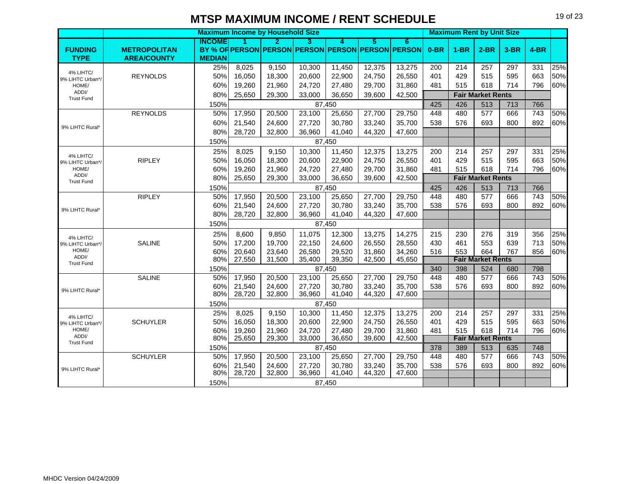|                               |                     |               | <b>Maximum Income by Household Size</b> |        |        |        |        |                                                   |        | <b>Maximum Rent by Unit Size</b> |                          |        |        |     |
|-------------------------------|---------------------|---------------|-----------------------------------------|--------|--------|--------|--------|---------------------------------------------------|--------|----------------------------------|--------------------------|--------|--------|-----|
|                               |                     | INGOME        |                                         | D      | з      | л      | Б      | 6                                                 |        |                                  |                          |        |        |     |
| <b>FUNDING</b>                | <b>METROPOLITAN</b> |               |                                         |        |        |        |        | BY % OF PERSON PERSON PERSON PERSON PERSON PERSON | $0-BR$ | $1-BR$                           | $2-BR$                   | $3-BR$ | $4-BR$ |     |
| <b>TYPE</b>                   | <b>AREA/COUNTY</b>  | <b>MEDIAN</b> |                                         |        |        |        |        |                                                   |        |                                  |                          |        |        |     |
| 4% LIHTC/                     |                     | 25%           | 8,025                                   | 9,150  | 10,300 | 11,450 | 12,375 | 13,275                                            | 200    | 214                              | 257                      | 297    | 331    | 25% |
| 9% LIHTC Urban*/              | <b>REYNOLDS</b>     | 50%           | 16,050                                  | 18,300 | 20,600 | 22,900 | 24,750 | 26,550                                            | 401    | 429                              | 515                      | 595    | 663    | 50% |
| HOME/                         |                     | 60%           | 19,260                                  | 21,960 | 24,720 | 27,480 | 29,700 | 31,860                                            | 481    | 515                              | 618                      | 714    | 796    | 60% |
| ADDI/<br><b>Trust Fund</b>    |                     | 80%           | 25,650                                  | 29,300 | 33,000 | 36,650 | 39,600 | 42,500                                            |        |                                  | <b>Fair Market Rents</b> |        |        |     |
|                               |                     | 150%          |                                         |        |        | 87,450 |        |                                                   | 425    | 426                              | 513                      | 713    | 766    |     |
|                               | <b>REYNOLDS</b>     | 50%           | 17,950                                  | 20,500 | 23,100 | 25,650 | 27,700 | 29,750                                            | 448    | 480                              | 577                      | 666    | 743    | 50% |
| 9% LIHTC Rural*               |                     | 60%           | 21,540                                  | 24,600 | 27,720 | 30,780 | 33,240 | 35,700                                            | 538    | 576                              | 693                      | 800    | 892    | 60% |
|                               |                     | 80%           | 28,720                                  | 32,800 | 36,960 | 41,040 | 44,320 | 47,600                                            |        |                                  |                          |        |        |     |
|                               |                     | 150%          |                                         |        |        | 87,450 |        |                                                   |        |                                  |                          |        |        |     |
|                               |                     | 25%           | 8,025                                   | 9,150  | 10,300 | 11,450 | 12,375 | 13,275                                            | 200    | 214                              | 257                      | 297    | 331    | 25% |
| 4% LIHTC/<br>9% LIHTC Urban*/ | <b>RIPLEY</b>       | 50%           | 16,050                                  | 18,300 | 20,600 | 22,900 | 24,750 | 26,550                                            | 401    | 429                              | 515                      | 595    | 663    | 50% |
| HOME/                         |                     | 60%           | 19,260                                  | 21,960 | 24,720 | 27,480 | 29,700 | 31,860                                            | 481    | 515                              | 618                      | 714    | 796    | 60% |
| ADDI/<br><b>Trust Fund</b>    |                     | 80%           | 25,650                                  | 29,300 | 33,000 | 36,650 | 39,600 | 42,500                                            |        |                                  | <b>Fair Market Rents</b> |        |        |     |
|                               |                     | 150%          |                                         |        |        | 87,450 |        |                                                   | 425    | 426                              | 513                      | 713    | 766    |     |
|                               | <b>RIPLEY</b>       | 50%           | 17,950                                  | 20,500 | 23,100 | 25,650 | 27,700 | 29,750                                            | 448    | 480                              | 577                      | 666    | 743    | 50% |
|                               |                     | 60%           | 21,540                                  | 24,600 | 27,720 | 30,780 | 33,240 | 35,700                                            | 538    | 576                              | 693                      | 800    | 892    | 60% |
| 9% LIHTC Rural*               |                     | 80%           | 28,720                                  | 32,800 | 36,960 | 41,040 | 44,320 | 47,600                                            |        |                                  |                          |        |        |     |
|                               |                     | 150%          |                                         |        |        | 87,450 |        |                                                   |        |                                  |                          |        |        |     |
| 4% LIHTC/                     |                     | 25%           | 8,600                                   | 9,850  | 11,075 | 12,300 | 13,275 | 14,275                                            | 215    | 230                              | 276                      | 319    | 356    | 25% |
| 9% LIHTC Urban*/              | SALINE              | 50%           | 17,200                                  | 19,700 | 22,150 | 24,600 | 26,550 | 28,550                                            | 430    | 461                              | 553                      | 639    | 713    | 50% |
| HOME/                         |                     | 60%           | 20,640                                  | 23.640 | 26,580 | 29,520 | 31.860 | 34,260                                            | 516    | 553                              | 664                      | 767    | 856    | 60% |
| ADDI/<br><b>Trust Fund</b>    |                     | 80%           | 27,550                                  | 31,500 | 35,400 | 39,350 | 42,500 | 45,650                                            |        |                                  | <b>Fair Market Rents</b> |        |        |     |
|                               |                     | 150%          |                                         |        |        | 87,450 |        |                                                   | 340    | 398                              | 524                      | 680    | 798    |     |
|                               | SALINE              | 50%           | 17,950                                  | 20,500 | 23,100 | 25,650 | 27,700 | 29,750                                            | 448    | 480                              | 577                      | 666    | 743    | 50% |
| 9% LIHTC Rural*               |                     | 60%           | 21,540                                  | 24,600 | 27,720 | 30.780 | 33.240 | 35,700                                            | 538    | 576                              | 693                      | 800    | 892    | 60% |
|                               |                     | 80%           | 28,720                                  | 32.800 | 36,960 | 41,040 | 44,320 | 47.600                                            |        |                                  |                          |        |        |     |
|                               |                     | 150%          |                                         |        |        | 87,450 |        |                                                   |        |                                  |                          |        |        |     |
| 4% LIHTC/                     |                     | 25%           | 8,025                                   | 9,150  | 10,300 | 11,450 | 12,375 | 13,275                                            | 200    | 214                              | 257                      | 297    | 331    | 25% |
| 9% LIHTC Urban*/              | <b>SCHUYLER</b>     | 50%           | 16,050                                  | 18,300 | 20,600 | 22,900 | 24,750 | 26,550                                            | 401    | 429                              | 515                      | 595    | 663    | 50% |
| HOME/<br>ADDI/                |                     | 60%           | 19,260                                  | 21,960 | 24,720 | 27,480 | 29,700 | 31,860                                            | 481    | 515                              | 618                      | 714    | 796    | 60% |
| <b>Trust Fund</b>             |                     | 80%           | 25,650                                  | 29,300 | 33,000 | 36,650 | 39,600 | 42,500                                            |        |                                  | <b>Fair Market Rents</b> |        |        |     |
|                               |                     | 150%          |                                         |        |        | 87.450 |        |                                                   | 378    | 389                              | 513                      | 635    | 748    |     |
|                               | <b>SCHUYLER</b>     | 50%           | 17,950                                  | 20,500 | 23,100 | 25,650 | 27,700 | 29,750                                            | 448    | 480                              | 577                      | 666    | 743    | 50% |
| 9% LIHTC Rural*               |                     | 60%           | 21,540                                  | 24,600 | 27,720 | 30,780 | 33,240 | 35,700                                            | 538    | 576                              | 693                      | 800    | 892    | 60% |
|                               |                     | 80%           | 28,720                                  | 32,800 | 36,960 | 41,040 | 44,320 | 47,600                                            |        |                                  |                          |        |        |     |
|                               |                     | 150%          |                                         |        |        | 87,450 |        |                                                   |        |                                  |                          |        |        |     |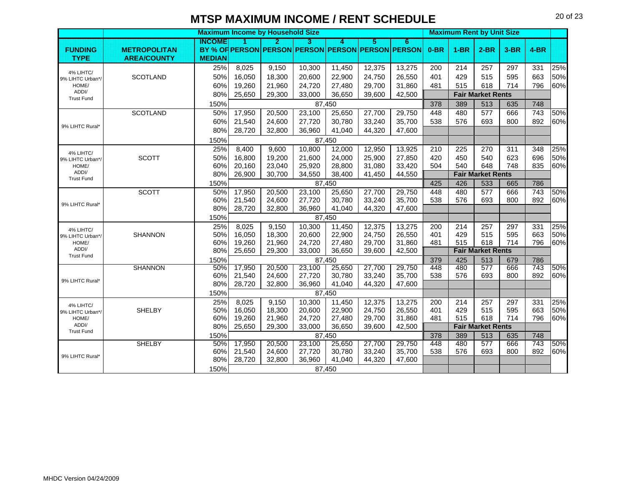|                               |                     |               |                  | <b>Maximum Income by Household Size</b> |                  |                  |                  |                                                   |            | <b>Maximum Rent by Unit Size</b> |                          |            |            |            |
|-------------------------------|---------------------|---------------|------------------|-----------------------------------------|------------------|------------------|------------------|---------------------------------------------------|------------|----------------------------------|--------------------------|------------|------------|------------|
|                               |                     | <b>INCOME</b> | и                | И                                       | з                | Δ                | 5                | 6.                                                |            |                                  |                          |            |            |            |
| <b>FUNDING</b>                | <b>METROPOLITAN</b> |               |                  |                                         |                  |                  |                  | BY % OF PERSON PERSON PERSON PERSON PERSON PERSON | $0-BR$     | $1-BR$                           | $2-BR$                   | $3-BR$     | $4-BR$     |            |
| <b>TYPE</b>                   | <b>AREA/COUNTY</b>  | <b>MEDIAN</b> |                  |                                         |                  |                  |                  |                                                   |            |                                  |                          |            |            |            |
| 4% LIHTC/                     |                     | 25%           | 8,025            | 9,150                                   | 10,300           | 11,450           | 12,375           | 13,275                                            | 200        | 214                              | 257                      | 297        | 331        | 25%        |
| 9% LIHTC Urban*/              | <b>SCOTLAND</b>     | 50%           | 16,050           | 18,300                                  | 20,600           | 22,900           | 24,750           | 26,550                                            | 401        | 429                              | 515                      | 595        | 663        | 50%        |
| HOME/                         |                     | 60%           | 19,260           | 21,960                                  | 24,720           | 27,480           | 29,700           | 31,860                                            | 481        | 515                              | 618                      | 714        | 796        | 60%        |
| ADDI/<br><b>Trust Fund</b>    |                     | 80%           | 25,650           | 29,300                                  | 33,000           | 36,650           | 39,600           | 42,500                                            |            |                                  | <b>Fair Market Rents</b> |            |            |            |
|                               |                     | 150%          |                  |                                         |                  | 87,450           |                  |                                                   | 378        | 389                              | 513                      | 635        | 748        |            |
|                               | <b>SCOTLAND</b>     | 50%           | 17,950           | 20,500                                  | 23,100           | 25,650           | 27,700           | 29,750                                            | 448        | 480                              | 577                      | 666        | 743        | 50%        |
|                               |                     | 60%           | 21,540           | 24,600                                  | 27,720           | 30,780           | 33,240           | 35,700                                            | 538        | 576                              | 693                      | 800        | 892        | 60%        |
| 9% LIHTC Rural*               |                     | 80%           | 28,720           | 32,800                                  | 36,960           | 41,040           | 44,320           | 47,600                                            |            |                                  |                          |            |            |            |
|                               |                     | 150%          |                  |                                         |                  | 87,450           |                  |                                                   |            |                                  |                          |            |            |            |
|                               |                     | 25%           | 8,400            | 9,600                                   | 10,800           | 12,000           | 12,950           | 13,925                                            | 210        | 225                              | 270                      | 311        | 348        | 25%        |
| 4% LIHTC/<br>9% LIHTC Urban*/ | <b>SCOTT</b>        | 50%           | 16,800           | 19,200                                  | 21,600           | 24,000           | 25,900           | 27,850                                            | 420        | 450                              | 540                      | 623        | 696        | 50%        |
| HOME/                         |                     | 60%           | 20,160           | 23,040                                  | 25,920           | 28,800           | 31,080           | 33,420                                            | 504        | 540                              | 648                      | 748        | 835        | 60%        |
| ADDI/<br><b>Trust Fund</b>    |                     | 80%           | 26,900           | 30,700                                  | 34,550           | 38,400           | 41,450           | 44,550                                            |            |                                  | <b>Fair Market Rents</b> |            |            |            |
|                               |                     | 150%          |                  |                                         |                  | 87,450           |                  |                                                   | 425        | 426                              | 533                      | 665        | 786        |            |
|                               | <b>SCOTT</b>        | 50%           | 17,950           | 20,500                                  | 23,100           | 25,650           | 27,700           | 29,750                                            | 448        | 480                              | 577                      | 666        | 743        | 50%        |
| 9% LIHTC Rural*               |                     | 60%           | 21,540           | 24,600                                  | 27,720           | 30,780           | 33,240           | 35,700                                            | 538        | 576                              | 693                      | 800        | 892        | 60%        |
|                               |                     | 80%           | 28,720           | 32,800                                  | 36,960           | 41,040           | 44,320           | 47,600                                            |            |                                  |                          |            |            |            |
|                               |                     | 150%          |                  |                                         |                  | 87.450           |                  |                                                   |            |                                  |                          |            |            |            |
| 4% LIHTC/                     |                     | 25%           | 8,025            | 9,150                                   | 10,300           | 11,450           | 12,375           | 13,275                                            | 200        | 214                              | 257                      | 297        | 331        | 25%        |
| 9% LIHTC Urban*/              | SHANNON             | 50%           | 16,050           | 18,300                                  | 20,600           | 22,900           | 24,750           | 26,550                                            | 401        | 429                              | 515                      | 595        | 663        | 50%        |
| HOME/                         |                     | 60%           | 19,260           | 21,960                                  | 24,720           | 27,480           | 29,700           | 31,860                                            | 481        | 515                              | 618                      | 714        | 796        | 60%        |
| ADDI/<br><b>Trust Fund</b>    |                     | 80%           | 25,650           | 29,300                                  | 33,000           | 36,650           | 39,600           | 42,500                                            |            |                                  | <b>Fair Market Rents</b> |            |            |            |
|                               |                     | 150%          |                  |                                         |                  | 87,450           |                  |                                                   | 379        | 425                              | 513                      | 679        | 786        |            |
|                               | <b>SHANNON</b>      | 50%           | 17,950           | 20,500                                  | 23,100           | 25,650           | 27,700           | 29,750                                            | 448        | 480                              | 577                      | 666        | 743        | 50%        |
| 9% LIHTC Rural*               |                     | 60%<br>80%    | 21,540<br>28,720 | 24,600                                  | 27,720<br>36,960 | 30,780           | 33,240           | 35,700                                            | 538        | 576                              | 693                      | 800        | 892        | 60%        |
|                               |                     |               |                  | 32,800                                  |                  | 41,040           | 44,320           | 47,600                                            |            |                                  |                          |            |            |            |
|                               |                     | 150%          |                  |                                         |                  | 87,450           |                  |                                                   |            |                                  |                          |            |            |            |
| 4% LIHTC/                     |                     | 25%<br>50%    | 8,025            | 9,150                                   | 10,300           | 11,450           | 12,375           | 13,275                                            | 200        | 214                              | 257                      | 297        | 331        | 25%<br>50% |
| 9% LIHTC Urban*/<br>HOME/     | SHELBY              | 60%           | 16,050<br>19,260 | 18,300<br>21,960                        | 20,600<br>24,720 | 22,900<br>27,480 | 24,750<br>29,700 | 26,550<br>31,860                                  | 401<br>481 | 429<br>515                       | 515<br>618               | 595<br>714 | 663<br>796 | 60%        |
| ADDI/                         |                     | 80%           | 25,650           | 29,300                                  | 33,000           | 36,650           | 39,600           | 42,500                                            |            |                                  | <b>Fair Market Rents</b> |            |            |            |
| <b>Trust Fund</b>             |                     | 150%          |                  |                                         |                  | 87,450           |                  |                                                   | 378        | 389                              | 513                      | 635        | 748        |            |
|                               | <b>SHELBY</b>       | 50%           | 17,950           | 20,500                                  | 23,100           | 25,650           | 27,700           | 29,750                                            | 448        | 480                              | $\overline{577}$         | 666        | 743        | 50%        |
|                               |                     | 60%           | 21,540           | 24,600                                  | 27,720           | 30,780           | 33,240           | 35,700                                            | 538        | 576                              | 693                      | 800        | 892        | 60%        |
| 9% LIHTC Rural*               |                     | 80%           | 28,720           | 32,800                                  | 36,960           | 41,040           | 44,320           | 47,600                                            |            |                                  |                          |            |            |            |
|                               |                     | 150%          |                  |                                         |                  | 87,450           |                  |                                                   |            |                                  |                          |            |            |            |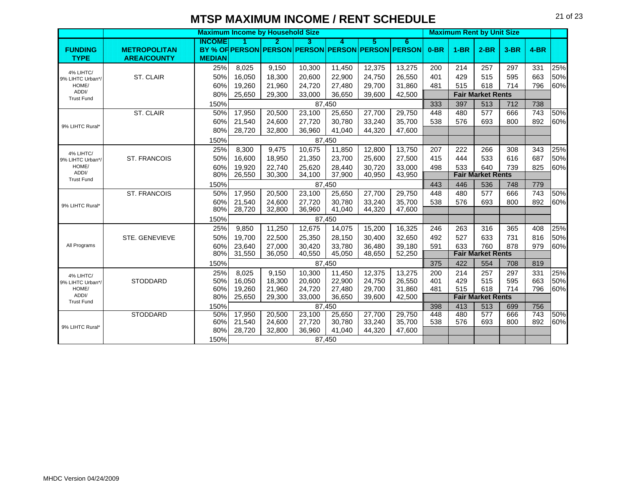|                               |                     | <b>Maximum Income by Household Size</b> |        |        |        |        |        |                                                   |        | <b>Maximum Rent by Unit Size</b> |                          |        |        |     |
|-------------------------------|---------------------|-----------------------------------------|--------|--------|--------|--------|--------|---------------------------------------------------|--------|----------------------------------|--------------------------|--------|--------|-----|
|                               |                     | INGOME                                  | П      | 2.     | 3      | A      | 5      | 6                                                 |        |                                  |                          |        |        |     |
| <b>FUNDING</b>                | <b>METROPOLITAN</b> |                                         |        |        |        |        |        | BY % OF PERSON PERSON PERSON PERSON PERSON PERSON | $0-BR$ | $1-BR$                           | $2-BR$                   | $3-BR$ | $4-BR$ |     |
| <b>TYPE</b>                   | <b>AREA/COUNTY</b>  | <b>MEDIAN</b>                           |        |        |        |        |        |                                                   |        |                                  |                          |        |        |     |
| 4% LIHTC/                     |                     | 25%                                     | 8,025  | 9,150  | 10,300 | 11,450 | 12,375 | 13,275                                            | 200    | 214                              | 257                      | 297    | 331    | 25% |
| 9% LIHTC Urban*/              | <b>ST. CLAIR</b>    | 50%                                     | 16,050 | 18,300 | 20,600 | 22,900 | 24,750 | 26,550                                            | 401    | 429                              | 515                      | 595    | 663    | 50% |
| HOME/                         |                     | 60%                                     | 19,260 | 21,960 | 24,720 | 27,480 | 29,700 | 31,860                                            | 481    | 515                              | 618                      | 714    | 796    | 60% |
| ADDI/<br><b>Trust Fund</b>    |                     | 80%                                     | 25,650 | 29,300 | 33,000 | 36.650 | 39,600 | 42,500                                            |        |                                  | <b>Fair Market Rents</b> |        |        |     |
|                               |                     | 150%                                    |        |        |        | 87.450 |        |                                                   | 333    | 397                              | 513                      | 712    | 738    |     |
|                               | <b>ST. CLAIR</b>    | 50%                                     | 17,950 | 20,500 | 23,100 | 25,650 | 27,700 | 29,750                                            | 448    | 480                              | 577                      | 666    | 743    | 50% |
|                               |                     | 60%                                     | 21,540 | 24.600 | 27,720 | 30.780 | 33,240 | 35.700                                            | 538    | 576                              | 693                      | 800    | 892    | 60% |
| 9% LIHTC Rural*               |                     | 80%                                     | 28,720 | 32,800 | 36,960 | 41,040 | 44,320 | 47.600                                            |        |                                  |                          |        |        |     |
|                               |                     | 150%                                    |        |        |        | 87,450 |        |                                                   |        |                                  |                          |        |        |     |
|                               |                     | 25%                                     | 8,300  | 9,475  | 10,675 | 11,850 | 12,800 | 13,750                                            | 207    | 222                              | 266                      | 308    | 343    | 25% |
| 4% LIHTC/<br>9% LIHTC Urban*/ | <b>ST. FRANCOIS</b> | 50%                                     | 16,600 | 18,950 | 21,350 | 23,700 | 25,600 | 27,500                                            | 415    | 444                              | 533                      | 616    | 687    | 50% |
| HOME/                         |                     | 60%                                     | 19,920 | 22.740 | 25,620 | 28,440 | 30.720 | 33,000                                            | 498    | 533                              | 640                      | 739    | 825    | 60% |
| ADDI/                         |                     | 80%                                     | 26,550 | 30,300 | 34,100 | 37,900 | 40,950 | 43,950                                            |        |                                  | <b>Fair Market Rents</b> |        |        |     |
| <b>Trust Fund</b>             |                     | 150%                                    |        |        |        | 87,450 |        |                                                   | 443    | 446                              | 536                      | 748    | 779    |     |
|                               | <b>ST. FRANCOIS</b> | 50%                                     | 17,950 | 20,500 | 23,100 | 25,650 | 27,700 | 29,750                                            | 448    | 480                              | 577                      | 666    | 743    | 50% |
|                               |                     | 60%                                     | 21,540 | 24,600 | 27,720 | 30,780 | 33,240 | 35,700                                            | 538    | 576                              | 693                      | 800    | 892    | 60% |
| 9% LIHTC Rural*               |                     | 80%                                     | 28,720 | 32,800 | 36,960 | 41,040 | 44,320 | 47,600                                            |        |                                  |                          |        |        |     |
|                               |                     | 150%                                    |        |        |        | 87,450 |        |                                                   |        |                                  |                          |        |        |     |
|                               |                     | 25%                                     | 9,850  | 11,250 | 12,675 | 14,075 | 15,200 | 16,325                                            | 246    | 263                              | 316                      | 365    | 408    | 25% |
|                               | STE. GENEVIEVE      | 50%                                     | 19,700 | 22,500 | 25,350 | 28,150 | 30,400 | 32,650                                            | 492    | 527                              | 633                      | 731    | 816    | 50% |
| All Programs                  |                     | 60%                                     | 23,640 | 27,000 | 30,420 | 33.780 | 36.480 | 39,180                                            | 591    | 633                              | 760                      | 878    | 979    | 60% |
|                               |                     | 80%                                     | 31,550 | 36,050 | 40,550 | 45,050 | 48,650 | 52,250                                            |        |                                  | <b>Fair Market Rents</b> |        |        |     |
|                               |                     | 150%                                    |        |        |        | 87,450 |        |                                                   | 375    | 422                              | 554                      | 708    | 819    |     |
| 4% LIHTC/                     |                     | 25%                                     | 8,025  | 9,150  | 10,300 | 11,450 | 12,375 | 13,275                                            | 200    | 214                              | 257                      | 297    | 331    | 25% |
| 9% LIHTC Urban*/              | <b>STODDARD</b>     | 50%                                     | 16,050 | 18,300 | 20,600 | 22,900 | 24,750 | 26,550                                            | 401    | 429                              | 515                      | 595    | 663    | 50% |
| HOME/                         |                     | 60%                                     | 19,260 | 21,960 | 24,720 | 27,480 | 29,700 | 31,860                                            | 481    | 515                              | 618                      | 714    | 796    | 60% |
| ADDI/<br><b>Trust Fund</b>    |                     | 80%                                     | 25,650 | 29,300 | 33,000 | 36,650 | 39,600 | 42,500                                            |        |                                  | <b>Fair Market Rents</b> |        |        |     |
|                               |                     | 150%                                    |        |        |        | 87.450 |        |                                                   | 398    | 413                              | 513                      | 699    | 756    |     |
|                               | <b>STODDARD</b>     | 50%                                     | 17,950 | 20,500 | 23,100 | 25,650 | 27,700 | 29,750                                            | 448    | 480                              | 577                      | 666    | 743    | 50% |
| 9% LIHTC Rural*               |                     | 60%                                     | 21,540 | 24,600 | 27,720 | 30.780 | 33,240 | 35,700                                            | 538    | 576                              | 693                      | 800    | 892    | 60% |
|                               |                     | 80%                                     | 28,720 | 32,800 | 36,960 | 41,040 | 44,320 | 47,600                                            |        |                                  |                          |        |        |     |
|                               |                     | 150%                                    |        |        |        | 87,450 |        |                                                   |        |                                  |                          |        |        |     |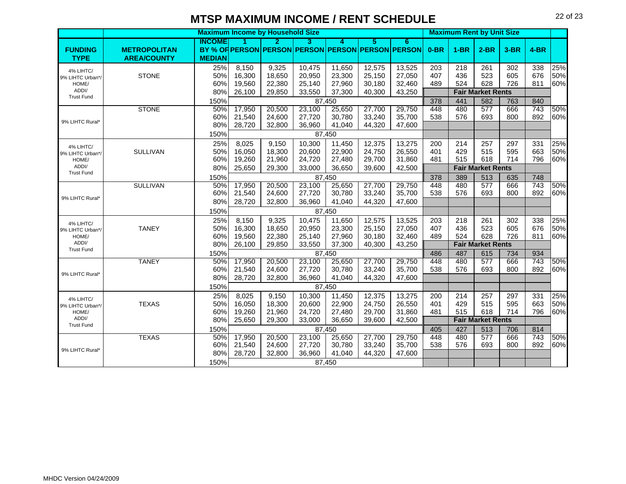|                            |                     |               |        | <b>Maximum Income by Household Size</b> |        |        |        |                                                   |        | <b>Maximum Rent by Unit Size</b> |                          |        |        |     |
|----------------------------|---------------------|---------------|--------|-----------------------------------------|--------|--------|--------|---------------------------------------------------|--------|----------------------------------|--------------------------|--------|--------|-----|
|                            |                     | <b>INCOME</b> |        | Ы                                       | з      | А      | 5      | 6                                                 |        |                                  |                          |        |        |     |
| <b>FUNDING</b>             | <b>METROPOLITAN</b> |               |        |                                         |        |        |        | BY % OF PERSON PERSON PERSON PERSON PERSON PERSON | $0-BR$ | $1-BR$                           | $2-BR$                   | $3-BR$ | $4-BR$ |     |
| <b>TYPE</b>                | <b>AREA/COUNTY</b>  | <b>MEDIAN</b> |        |                                         |        |        |        |                                                   |        |                                  |                          |        |        |     |
| 4% LIHTC/                  |                     | 25%           | 8,150  | 9,325                                   | 10,475 | 11,650 | 12,575 | 13,525                                            | 203    | 218                              | 261                      | 302    | 338    | 25% |
| 9% LIHTC Urban*/           | <b>STONE</b>        | 50%           | 16,300 | 18,650                                  | 20,950 | 23,300 | 25,150 | 27,050                                            | 407    | 436                              | 523                      | 605    | 676    | 50% |
| HOME/                      |                     | 60%           | 19,560 | 22,380                                  | 25,140 | 27,960 | 30,180 | 32,460                                            | 489    | 524                              | 628                      | 726    | 811    | 60% |
| ADDI/<br><b>Trust Fund</b> |                     | 80%           | 26,100 | 29,850                                  | 33,550 | 37,300 | 40,300 | 43,250                                            |        |                                  | <b>Fair Market Rents</b> |        |        |     |
|                            |                     | 150%          |        |                                         |        | 87,450 |        |                                                   | 378    | 441                              | 582                      | 763    | 840    |     |
|                            | <b>STONE</b>        | 50%           | 17,950 | 20,500                                  | 23,100 | 25,650 | 27,700 | 29,750                                            | 448    | 480                              | 577                      | 666    | 743    | 50% |
| 9% LIHTC Rural*            |                     | 60%           | 21,540 | 24,600                                  | 27,720 | 30,780 | 33,240 | 35,700                                            | 538    | 576                              | 693                      | 800    | 892    | 60% |
|                            |                     | 80%           | 28,720 | 32,800                                  | 36,960 | 41,040 | 44,320 | 47,600                                            |        |                                  |                          |        |        |     |
|                            |                     | 150%          |        |                                         |        | 87,450 |        |                                                   |        |                                  |                          |        |        |     |
| 4% LIHTC/                  |                     | 25%           | 8,025  | 9,150                                   | 10,300 | 11,450 | 12,375 | 13,275                                            | 200    | 214                              | 257                      | 297    | 331    | 25% |
| 9% LIHTC Urban*/           | <b>SULLIVAN</b>     | 50%           | 16,050 | 18,300                                  | 20,600 | 22,900 | 24,750 | 26,550                                            | 401    | 429                              | 515                      | 595    | 663    | 50% |
| HOME/                      |                     | 60%           | 19,260 | 21,960                                  | 24,720 | 27,480 | 29,700 | 31,860                                            | 481    | 515                              | 618                      | 714    | 796    | 60% |
| ADDI/<br><b>Trust Fund</b> |                     | 80%           | 25,650 | 29,300                                  | 33,000 | 36,650 | 39,600 | 42,500                                            |        |                                  | <b>Fair Market Rents</b> |        |        |     |
|                            |                     | 150%          |        |                                         |        | 87,450 |        |                                                   | 378    | 389                              | 513                      | 635    | 748    |     |
|                            | <b>SULLIVAN</b>     | 50%           | 17,950 | 20,500                                  | 23,100 | 25,650 | 27,700 | 29,750                                            | 448    | 480                              | 577                      | 666    | 743    | 50% |
|                            |                     | 60%           | 21,540 | 24,600                                  | 27,720 | 30,780 | 33,240 | 35,700                                            | 538    | 576                              | 693                      | 800    | 892    | 60% |
| 9% LIHTC Rural*            |                     | 80%           | 28,720 | 32,800                                  | 36,960 | 41,040 | 44,320 | 47,600                                            |        |                                  |                          |        |        |     |
|                            |                     | 150%          |        |                                         |        | 87,450 |        |                                                   |        |                                  |                          |        |        |     |
| 4% LIHTC/                  |                     | 25%           | 8,150  | 9,325                                   | 10,475 | 11,650 | 12,575 | 13,525                                            | 203    | 218                              | 261                      | 302    | 338    | 25% |
| 9% LIHTC Urban*/           | <b>TANEY</b>        | 50%           | 16,300 | 18,650                                  | 20,950 | 23,300 | 25,150 | 27,050                                            | 407    | 436                              | 523                      | 605    | 676    | 50% |
| HOME/                      |                     | 60%           | 19,560 | 22,380                                  | 25,140 | 27,960 | 30,180 | 32,460                                            | 489    | 524                              | 628                      | 726    | 811    | 60% |
| ADDI/<br><b>Trust Fund</b> |                     | 80%           | 26,100 | 29,850                                  | 33,550 | 37,300 | 40,300 | 43,250                                            |        |                                  | <b>Fair Market Rents</b> |        |        |     |
|                            |                     | 150%          |        |                                         |        | 87,450 |        |                                                   | 486    | 487                              | 615                      | 734    | 934    |     |
|                            | <b>TANEY</b>        | 50%           | 17,950 | 20,500                                  | 23,100 | 25,650 | 27,700 | 29,750                                            | 448    | 480                              | 577                      | 666    | 743    | 50% |
| 9% LIHTC Rural*            |                     | 60%           | 21,540 | 24,600                                  | 27,720 | 30,780 | 33,240 | 35,700                                            | 538    | 576                              | 693                      | 800    | 892    | 60% |
|                            |                     | 80%           | 28,720 | 32,800                                  | 36,960 | 41,040 | 44,320 | 47,600                                            |        |                                  |                          |        |        |     |
|                            |                     | 150%          |        |                                         |        | 87,450 |        |                                                   |        |                                  |                          |        |        |     |
| 4% LIHTC/                  |                     | 25%           | 8,025  | 9,150                                   | 10,300 | 11,450 | 12,375 | 13,275                                            | 200    | 214                              | 257                      | 297    | 331    | 25% |
| 9% LIHTC Urban*/           | <b>TEXAS</b>        | 50%           | 16,050 | 18,300                                  | 20,600 | 22,900 | 24,750 | 26,550                                            | 401    | 429                              | 515                      | 595    | 663    | 50% |
| HOME/                      |                     | 60%           | 19,260 | 21,960                                  | 24,720 | 27,480 | 29,700 | 31,860                                            | 481    | 515                              | 618                      | 714    | 796    | 60% |
| ADDI/                      |                     | 80%           | 25,650 | 29,300                                  | 33,000 | 36,650 | 39,600 | 42,500                                            |        |                                  | <b>Fair Market Rents</b> |        |        |     |
| <b>Trust Fund</b>          |                     | 150%          |        |                                         |        | 87,450 |        |                                                   | 405    | 427                              | 513                      | 706    | 814    |     |
|                            | <b>TEXAS</b>        | 50%           | 17,950 | 20,500                                  | 23,100 | 25,650 | 27,700 | 29,750                                            | 448    | 480                              | $\overline{577}$         | 666    | 743    | 50% |
|                            |                     | 60%           | 21,540 | 24,600                                  | 27,720 | 30,780 | 33,240 | 35,700                                            | 538    | 576                              | 693                      | 800    | 892    | 60% |
| 9% LIHTC Rural*            |                     | 80%           | 28,720 | 32,800                                  | 36,960 | 41,040 | 44,320 | 47,600                                            |        |                                  |                          |        |        |     |
|                            |                     | 150%          |        |                                         |        | 87,450 |        |                                                   |        |                                  |                          |        |        |     |